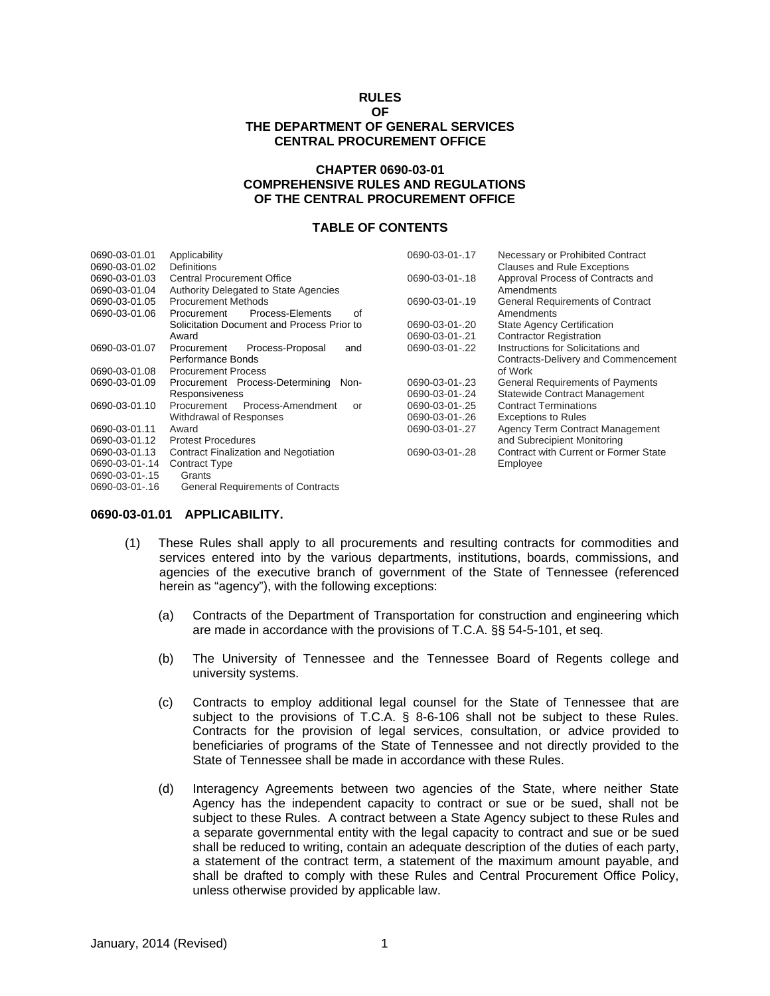#### **RULES OF**

# **THE DEPARTMENT OF GENERAL SERVICES CENTRAL PROCUREMENT OFFICE**

### **CHAPTER 0690-03-01 COMPREHENSIVE RULES AND REGULATIONS OF THE CENTRAL PROCUREMENT OFFICE**

## **TABLE OF CONTENTS**

| 0690-03-01.01  | Applicability                              | 0690-03-01-.17 | Necessary or Prohibited Contract        |
|----------------|--------------------------------------------|----------------|-----------------------------------------|
| 0690-03-01.02  | <b>Definitions</b>                         |                | <b>Clauses and Rule Exceptions</b>      |
| 0690-03-01.03  | <b>Central Procurement Office</b>          | 0690-03-01-.18 | Approval Process of Contracts and       |
| 0690-03-01.04  | Authority Delegated to State Agencies      |                | Amendments                              |
| 0690-03-01.05  | <b>Procurement Methods</b>                 | 0690-03-01-.19 | <b>General Requirements of Contract</b> |
| 0690-03-01.06  | Process-Elements<br>οf<br>Procurement      |                | Amendments                              |
|                | Solicitation Document and Process Prior to | 0690-03-01-.20 | <b>State Agency Certification</b>       |
|                | Award                                      | 0690-03-01-.21 | <b>Contractor Registration</b>          |
| 0690-03-01.07  | Process-Proposal<br>Procurement<br>and     | 0690-03-01-.22 | Instructions for Solicitations and      |
|                | Performance Bonds                          |                | Contracts-Delivery and Commencement     |
| 0690-03-01.08  | <b>Procurement Process</b>                 |                | of Work                                 |
| 0690-03-01.09  | Procurement Process-Determining<br>Non-    | 0690-03-01-.23 | <b>General Requirements of Payments</b> |
|                | Responsiveness                             | 0690-03-01-.24 | Statewide Contract Management           |
| 0690-03-01.10  | Process-Amendment<br>Procurement<br>or     | 0690-03-01-.25 | <b>Contract Terminations</b>            |
|                | Withdrawal of Responses                    | 0690-03-01-.26 | <b>Exceptions to Rules</b>              |
| 0690-03-01.11  | Award                                      | 0690-03-01-.27 | Agency Term Contract Management         |
| 0690-03-01.12  | <b>Protest Procedures</b>                  |                | and Subrecipient Monitoring             |
| 0690-03-01.13  | Contract Finalization and Negotiation      | 0690-03-01-.28 | Contract with Current or Former State   |
| 0690-03-01-.14 | <b>Contract Type</b>                       |                | Employee                                |
| 0690-03-01-.15 | Grants                                     |                |                                         |
| 0690-03-01-.16 | <b>General Requirements of Contracts</b>   |                |                                         |

#### **0690-03-01.01 APPLICABILITY.**

- (1) These Rules shall apply to all procurements and resulting contracts for commodities and services entered into by the various departments, institutions, boards, commissions, and agencies of the executive branch of government of the State of Tennessee (referenced herein as "agency"), with the following exceptions:
	- (a) Contracts of the Department of Transportation for construction and engineering which are made in accordance with the provisions of T.C.A. §§ 54-5-101, et seq.
	- (b) The University of Tennessee and the Tennessee Board of Regents college and university systems.
	- (c) Contracts to employ additional legal counsel for the State of Tennessee that are subject to the provisions of T.C.A. § 8-6-106 shall not be subject to these Rules. Contracts for the provision of legal services, consultation, or advice provided to beneficiaries of programs of the State of Tennessee and not directly provided to the State of Tennessee shall be made in accordance with these Rules.
	- (d) Interagency Agreements between two agencies of the State, where neither State Agency has the independent capacity to contract or sue or be sued, shall not be subject to these Rules. A contract between a State Agency subject to these Rules and a separate governmental entity with the legal capacity to contract and sue or be sued shall be reduced to writing, contain an adequate description of the duties of each party, a statement of the contract term, a statement of the maximum amount payable, and shall be drafted to comply with these Rules and Central Procurement Office Policy, unless otherwise provided by applicable law.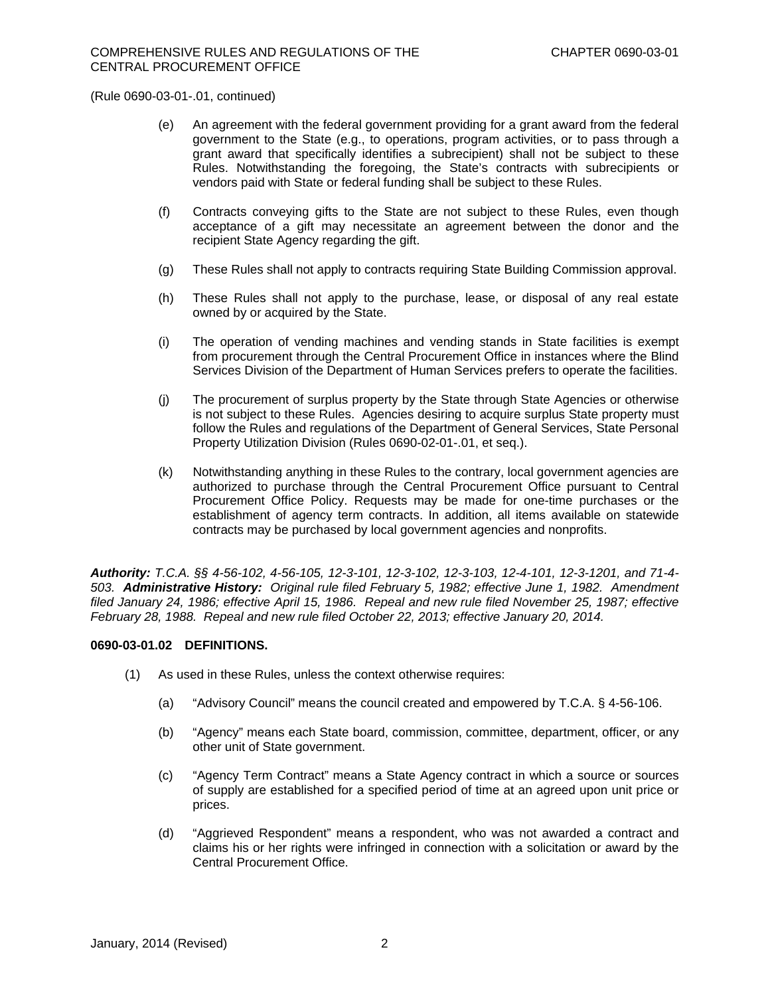- (e) An agreement with the federal government providing for a grant award from the federal government to the State (e.g., to operations, program activities, or to pass through a grant award that specifically identifies a subrecipient) shall not be subject to these Rules. Notwithstanding the foregoing, the State's contracts with subrecipients or vendors paid with State or federal funding shall be subject to these Rules.
- (f) Contracts conveying gifts to the State are not subject to these Rules, even though acceptance of a gift may necessitate an agreement between the donor and the recipient State Agency regarding the gift.
- (g) These Rules shall not apply to contracts requiring State Building Commission approval.
- (h) These Rules shall not apply to the purchase, lease, or disposal of any real estate owned by or acquired by the State.
- (i) The operation of vending machines and vending stands in State facilities is exempt from procurement through the Central Procurement Office in instances where the Blind Services Division of the Department of Human Services prefers to operate the facilities.
- (j) The procurement of surplus property by the State through State Agencies or otherwise is not subject to these Rules. Agencies desiring to acquire surplus State property must follow the Rules and regulations of the Department of General Services, State Personal Property Utilization Division (Rules 0690-02-01-.01, et seq.).
- (k) Notwithstanding anything in these Rules to the contrary, local government agencies are authorized to purchase through the Central Procurement Office pursuant to Central Procurement Office Policy. Requests may be made for one-time purchases or the establishment of agency term contracts. In addition, all items available on statewide contracts may be purchased by local government agencies and nonprofits.

*Authority: T.C.A. §§ 4-56-102, 4-56-105, 12-3-101, 12-3-102, 12-3-103, 12-4-101, 12-3-1201, and 71-4- 503. Administrative History: Original rule filed February 5, 1982; effective June 1, 1982. Amendment filed January 24, 1986; effective April 15, 1986. Repeal and new rule filed November 25, 1987; effective February 28, 1988. Repeal and new rule filed October 22, 2013; effective January 20, 2014.* 

## **0690-03-01.02 DEFINITIONS.**

- (1) As used in these Rules, unless the context otherwise requires:
	- (a) "Advisory Council" means the council created and empowered by T.C.A. § 4-56-106.
	- (b) "Agency" means each State board, commission, committee, department, officer, or any other unit of State government.
	- (c) "Agency Term Contract" means a State Agency contract in which a source or sources of supply are established for a specified period of time at an agreed upon unit price or prices.
	- (d) "Aggrieved Respondent" means a respondent, who was not awarded a contract and claims his or her rights were infringed in connection with a solicitation or award by the Central Procurement Office.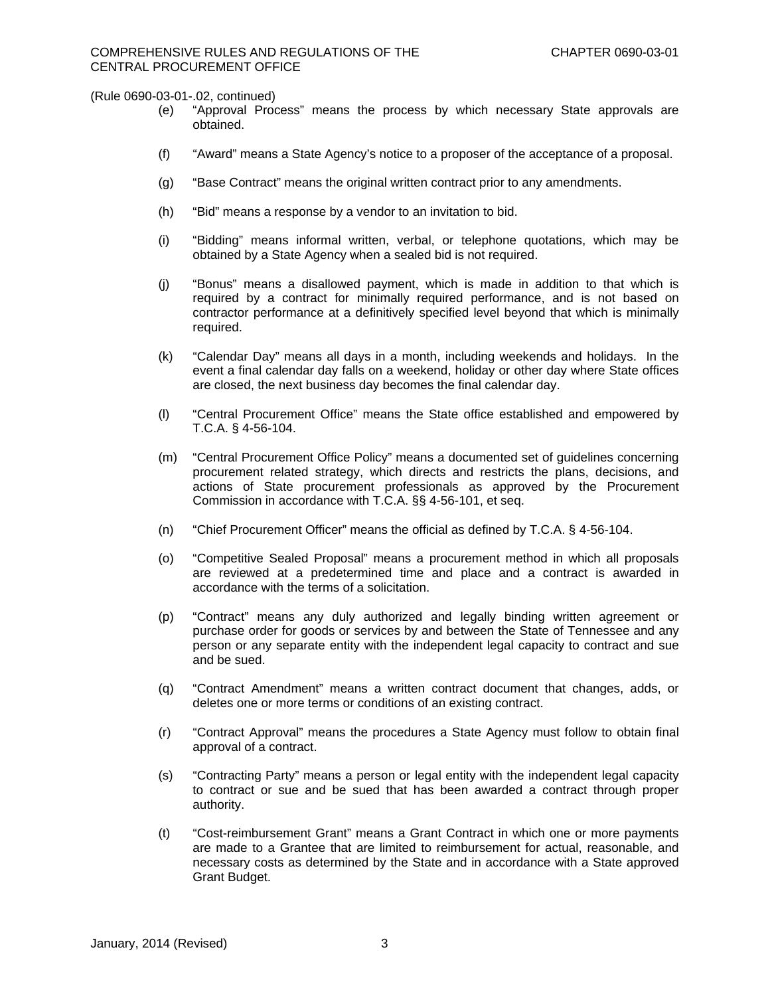- (e) "Approval Process" means the process by which necessary State approvals are obtained.
- (f) "Award" means a State Agency's notice to a proposer of the acceptance of a proposal.
- (g) "Base Contract" means the original written contract prior to any amendments.
- (h) "Bid" means a response by a vendor to an invitation to bid.
- (i) "Bidding" means informal written, verbal, or telephone quotations, which may be obtained by a State Agency when a sealed bid is not required.
- (j) "Bonus" means a disallowed payment, which is made in addition to that which is required by a contract for minimally required performance, and is not based on contractor performance at a definitively specified level beyond that which is minimally required.
- (k) "Calendar Day" means all days in a month, including weekends and holidays. In the event a final calendar day falls on a weekend, holiday or other day where State offices are closed, the next business day becomes the final calendar day.
- (l) "Central Procurement Office" means the State office established and empowered by T.C.A. § 4-56-104.
- (m) "Central Procurement Office Policy" means a documented set of guidelines concerning procurement related strategy, which directs and restricts the plans, decisions, and actions of State procurement professionals as approved by the Procurement Commission in accordance with T.C.A. §§ 4-56-101, et seq.
- (n) "Chief Procurement Officer" means the official as defined by T.C.A. § 4-56-104.
- (o) "Competitive Sealed Proposal" means a procurement method in which all proposals are reviewed at a predetermined time and place and a contract is awarded in accordance with the terms of a solicitation.
- (p) "Contract" means any duly authorized and legally binding written agreement or purchase order for goods or services by and between the State of Tennessee and any person or any separate entity with the independent legal capacity to contract and sue and be sued.
- (q) "Contract Amendment" means a written contract document that changes, adds, or deletes one or more terms or conditions of an existing contract.
- (r) "Contract Approval" means the procedures a State Agency must follow to obtain final approval of a contract.
- (s) "Contracting Party" means a person or legal entity with the independent legal capacity to contract or sue and be sued that has been awarded a contract through proper authority.
- (t) "Cost-reimbursement Grant" means a Grant Contract in which one or more payments are made to a Grantee that are limited to reimbursement for actual, reasonable, and necessary costs as determined by the State and in accordance with a State approved Grant Budget.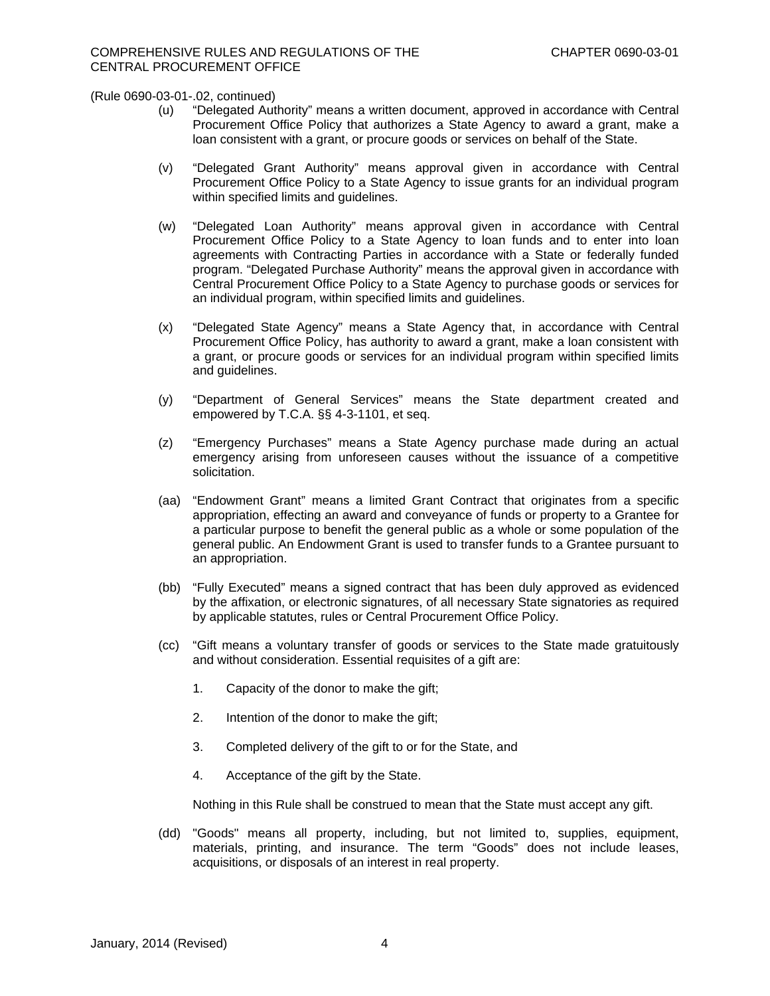- (u) "Delegated Authority" means a written document, approved in accordance with Central Procurement Office Policy that authorizes a State Agency to award a grant, make a loan consistent with a grant, or procure goods or services on behalf of the State.
- (v) "Delegated Grant Authority" means approval given in accordance with Central Procurement Office Policy to a State Agency to issue grants for an individual program within specified limits and guidelines.
- (w) "Delegated Loan Authority" means approval given in accordance with Central Procurement Office Policy to a State Agency to loan funds and to enter into loan agreements with Contracting Parties in accordance with a State or federally funded program. "Delegated Purchase Authority" means the approval given in accordance with Central Procurement Office Policy to a State Agency to purchase goods or services for an individual program, within specified limits and guidelines.
- (x) "Delegated State Agency" means a State Agency that, in accordance with Central Procurement Office Policy, has authority to award a grant, make a loan consistent with a grant, or procure goods or services for an individual program within specified limits and guidelines.
- (y) "Department of General Services" means the State department created and empowered by T.C.A. §§ 4-3-1101, et seq.
- (z) "Emergency Purchases" means a State Agency purchase made during an actual emergency arising from unforeseen causes without the issuance of a competitive solicitation.
- (aa) "Endowment Grant" means a limited Grant Contract that originates from a specific appropriation, effecting an award and conveyance of funds or property to a Grantee for a particular purpose to benefit the general public as a whole or some population of the general public. An Endowment Grant is used to transfer funds to a Grantee pursuant to an appropriation.
- (bb) "Fully Executed" means a signed contract that has been duly approved as evidenced by the affixation, or electronic signatures, of all necessary State signatories as required by applicable statutes, rules or Central Procurement Office Policy.
- (cc) "Gift means a voluntary transfer of goods or services to the State made gratuitously and without consideration. Essential requisites of a gift are:
	- 1. Capacity of the donor to make the gift;
	- 2. Intention of the donor to make the gift;
	- 3. Completed delivery of the gift to or for the State, and
	- 4. Acceptance of the gift by the State.

Nothing in this Rule shall be construed to mean that the State must accept any gift.

(dd) "Goods" means all property, including, but not limited to, supplies, equipment, materials, printing, and insurance. The term "Goods" does not include leases, acquisitions, or disposals of an interest in real property.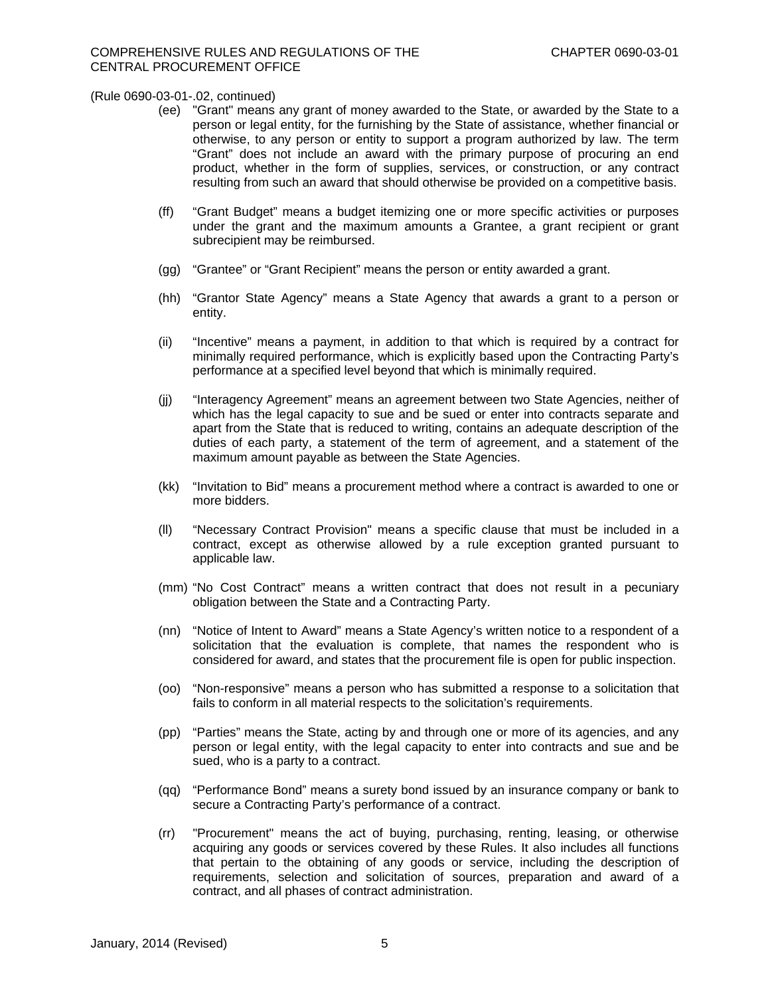- (ee) "Grant" means any grant of money awarded to the State, or awarded by the State to a person or legal entity, for the furnishing by the State of assistance, whether financial or otherwise, to any person or entity to support a program authorized by law. The term "Grant" does not include an award with the primary purpose of procuring an end product, whether in the form of supplies, services, or construction, or any contract resulting from such an award that should otherwise be provided on a competitive basis.
- (ff) "Grant Budget" means a budget itemizing one or more specific activities or purposes under the grant and the maximum amounts a Grantee, a grant recipient or grant subrecipient may be reimbursed.
- (gg) "Grantee" or "Grant Recipient" means the person or entity awarded a grant.
- (hh) "Grantor State Agency" means a State Agency that awards a grant to a person or entity.
- (ii) "Incentive" means a payment, in addition to that which is required by a contract for minimally required performance, which is explicitly based upon the Contracting Party's performance at a specified level beyond that which is minimally required.
- (jj) "Interagency Agreement" means an agreement between two State Agencies, neither of which has the legal capacity to sue and be sued or enter into contracts separate and apart from the State that is reduced to writing, contains an adequate description of the duties of each party, a statement of the term of agreement, and a statement of the maximum amount payable as between the State Agencies.
- (kk) "Invitation to Bid" means a procurement method where a contract is awarded to one or more bidders.
- (ll) "Necessary Contract Provision" means a specific clause that must be included in a contract, except as otherwise allowed by a rule exception granted pursuant to applicable law.
- (mm) "No Cost Contract" means a written contract that does not result in a pecuniary obligation between the State and a Contracting Party.
- (nn) "Notice of Intent to Award" means a State Agency's written notice to a respondent of a solicitation that the evaluation is complete, that names the respondent who is considered for award, and states that the procurement file is open for public inspection.
- (oo) "Non-responsive" means a person who has submitted a response to a solicitation that fails to conform in all material respects to the solicitation's requirements.
- (pp) "Parties" means the State, acting by and through one or more of its agencies, and any person or legal entity, with the legal capacity to enter into contracts and sue and be sued, who is a party to a contract.
- (qq) "Performance Bond" means a surety bond issued by an insurance company or bank to secure a Contracting Party's performance of a contract.
- (rr) "Procurement" means the act of buying, purchasing, renting, leasing, or otherwise acquiring any goods or services covered by these Rules. It also includes all functions that pertain to the obtaining of any goods or service, including the description of requirements, selection and solicitation of sources, preparation and award of a contract, and all phases of contract administration.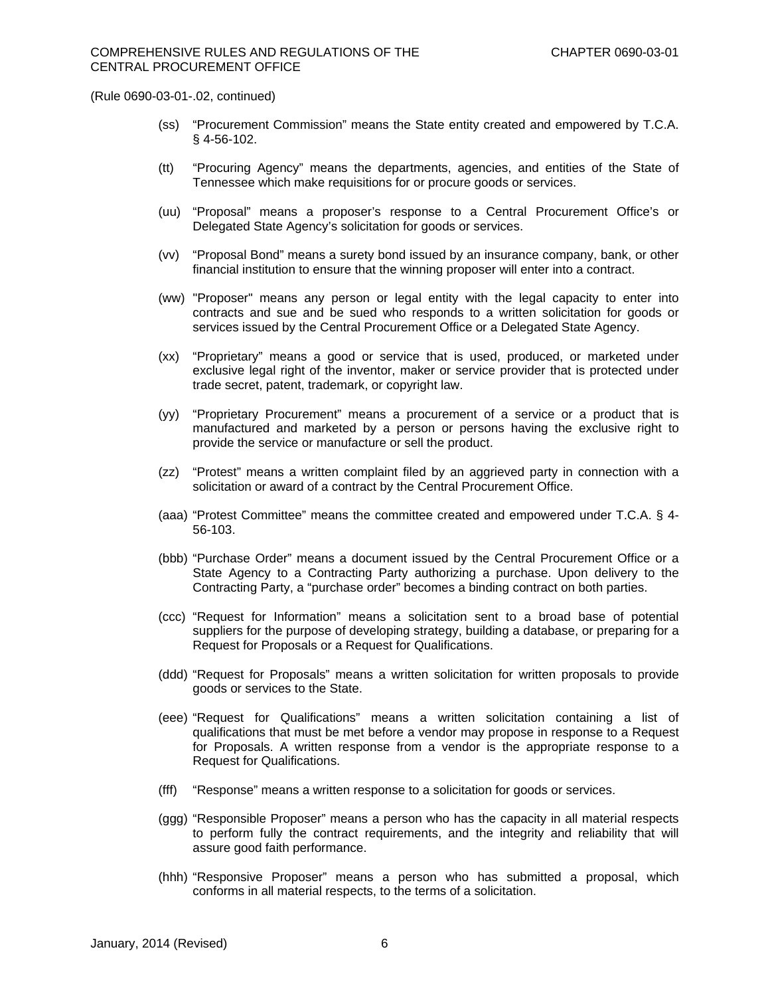- (ss) "Procurement Commission" means the State entity created and empowered by T.C.A. § 4-56-102.
- (tt) "Procuring Agency" means the departments, agencies, and entities of the State of Tennessee which make requisitions for or procure goods or services.
- (uu) "Proposal" means a proposer's response to a Central Procurement Office's or Delegated State Agency's solicitation for goods or services.
- (vv) "Proposal Bond" means a surety bond issued by an insurance company, bank, or other financial institution to ensure that the winning proposer will enter into a contract.
- (ww) "Proposer" means any person or legal entity with the legal capacity to enter into contracts and sue and be sued who responds to a written solicitation for goods or services issued by the Central Procurement Office or a Delegated State Agency.
- (xx) "Proprietary" means a good or service that is used, produced, or marketed under exclusive legal right of the inventor, maker or service provider that is protected under trade secret, patent, trademark, or copyright law.
- (yy) "Proprietary Procurement" means a procurement of a service or a product that is manufactured and marketed by a person or persons having the exclusive right to provide the service or manufacture or sell the product.
- (zz) "Protest" means a written complaint filed by an aggrieved party in connection with a solicitation or award of a contract by the Central Procurement Office.
- (aaa) "Protest Committee" means the committee created and empowered under T.C.A. § 4- 56-103.
- (bbb) "Purchase Order" means a document issued by the Central Procurement Office or a State Agency to a Contracting Party authorizing a purchase. Upon delivery to the Contracting Party, a "purchase order" becomes a binding contract on both parties.
- (ccc) "Request for Information" means a solicitation sent to a broad base of potential suppliers for the purpose of developing strategy, building a database, or preparing for a Request for Proposals or a Request for Qualifications.
- (ddd) "Request for Proposals" means a written solicitation for written proposals to provide goods or services to the State.
- (eee) "Request for Qualifications" means a written solicitation containing a list of qualifications that must be met before a vendor may propose in response to a Request for Proposals. A written response from a vendor is the appropriate response to a Request for Qualifications.
- (fff) "Response" means a written response to a solicitation for goods or services.
- (ggg) "Responsible Proposer" means a person who has the capacity in all material respects to perform fully the contract requirements, and the integrity and reliability that will assure good faith performance.
- (hhh) "Responsive Proposer" means a person who has submitted a proposal, which conforms in all material respects, to the terms of a solicitation.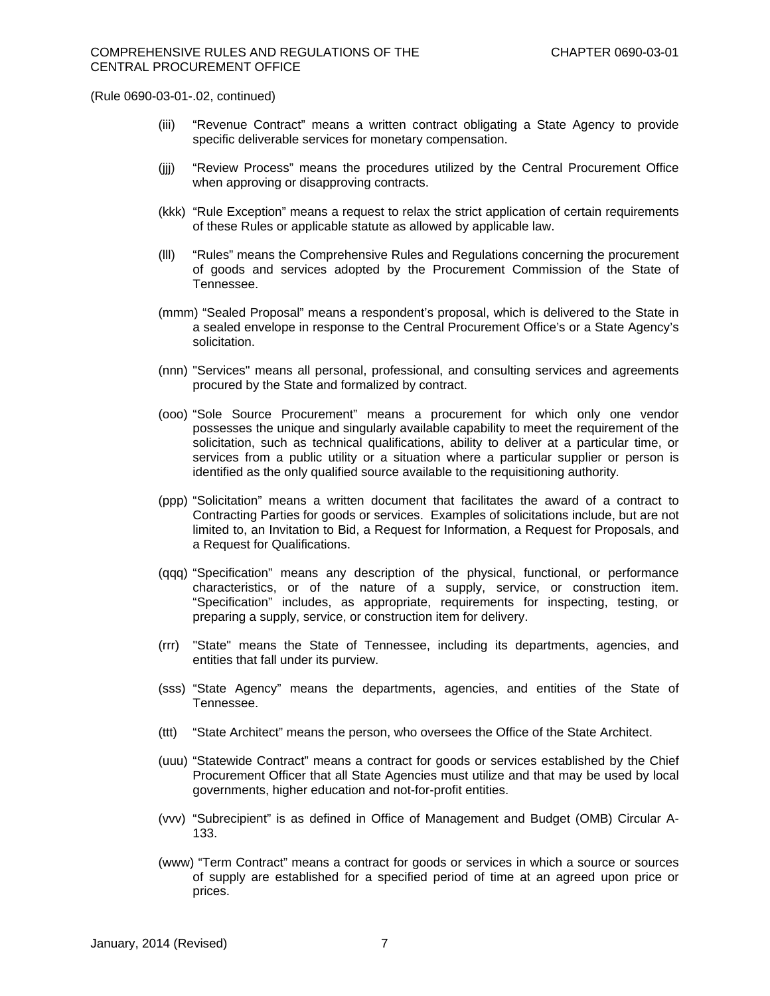- (iii) "Revenue Contract" means a written contract obligating a State Agency to provide specific deliverable services for monetary compensation.
- (jjj) "Review Process" means the procedures utilized by the Central Procurement Office when approving or disapproving contracts.
- (kkk) "Rule Exception" means a request to relax the strict application of certain requirements of these Rules or applicable statute as allowed by applicable law.
- (lll) "Rules" means the Comprehensive Rules and Regulations concerning the procurement of goods and services adopted by the Procurement Commission of the State of Tennessee.
- (mmm) "Sealed Proposal" means a respondent's proposal, which is delivered to the State in a sealed envelope in response to the Central Procurement Office's or a State Agency's solicitation.
- (nnn) "Services" means all personal, professional, and consulting services and agreements procured by the State and formalized by contract.
- (ooo) "Sole Source Procurement" means a procurement for which only one vendor possesses the unique and singularly available capability to meet the requirement of the solicitation, such as technical qualifications, ability to deliver at a particular time, or services from a public utility or a situation where a particular supplier or person is identified as the only qualified source available to the requisitioning authority*.*
- (ppp) "Solicitation" means a written document that facilitates the award of a contract to Contracting Parties for goods or services. Examples of solicitations include, but are not limited to, an Invitation to Bid, a Request for Information, a Request for Proposals, and a Request for Qualifications.
- (qqq) "Specification" means any description of the physical, functional, or performance characteristics, or of the nature of a supply, service, or construction item. "Specification" includes, as appropriate, requirements for inspecting, testing, or preparing a supply, service, or construction item for delivery.
- (rrr) "State" means the State of Tennessee, including its departments, agencies, and entities that fall under its purview.
- (sss) "State Agency" means the departments, agencies, and entities of the State of Tennessee.
- (ttt) "State Architect" means the person, who oversees the Office of the State Architect.
- (uuu) "Statewide Contract" means a contract for goods or services established by the Chief Procurement Officer that all State Agencies must utilize and that may be used by local governments, higher education and not-for-profit entities.
- (vvv) "Subrecipient" is as defined in Office of Management and Budget (OMB) Circular A-133.
- (www) "Term Contract" means a contract for goods or services in which a source or sources of supply are established for a specified period of time at an agreed upon price or prices.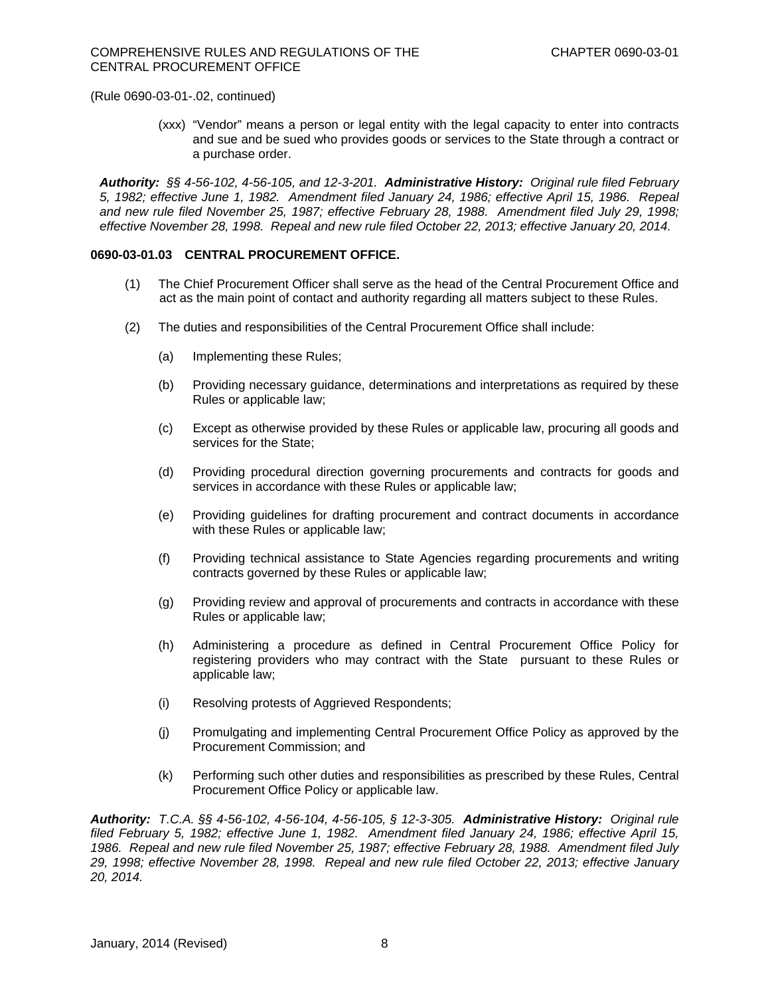(xxx) "Vendor" means a person or legal entity with the legal capacity to enter into contracts and sue and be sued who provides goods or services to the State through a contract or a purchase order.

*Authority: §§ 4-56-102, 4-56-105, and 12-3-201. Administrative History: Original rule filed February 5, 1982; effective June 1, 1982. Amendment filed January 24, 1986; effective April 15, 1986. Repeal and new rule filed November 25, 1987; effective February 28, 1988. Amendment filed July 29, 1998; effective November 28, 1998. Repeal and new rule filed October 22, 2013; effective January 20, 2014.* 

## **0690-03-01.03 CENTRAL PROCUREMENT OFFICE.**

- (1) The Chief Procurement Officer shall serve as the head of the Central Procurement Office and act as the main point of contact and authority regarding all matters subject to these Rules.
- (2) The duties and responsibilities of the Central Procurement Office shall include:
	- (a) Implementing these Rules;
	- (b) Providing necessary guidance, determinations and interpretations as required by these Rules or applicable law;
	- (c) Except as otherwise provided by these Rules or applicable law, procuring all goods and services for the State;
	- (d) Providing procedural direction governing procurements and contracts for goods and services in accordance with these Rules or applicable law;
	- (e) Providing guidelines for drafting procurement and contract documents in accordance with these Rules or applicable law;
	- (f) Providing technical assistance to State Agencies regarding procurements and writing contracts governed by these Rules or applicable law;
	- (g) Providing review and approval of procurements and contracts in accordance with these Rules or applicable law;
	- (h) Administering a procedure as defined in Central Procurement Office Policy for registering providers who may contract with the State pursuant to these Rules or applicable law;
	- (i) Resolving protests of Aggrieved Respondents;
	- (j) Promulgating and implementing Central Procurement Office Policy as approved by the Procurement Commission; and
	- (k) Performing such other duties and responsibilities as prescribed by these Rules, Central Procurement Office Policy or applicable law.

*Authority: T.C.A. §§ 4-56-102, 4-56-104, 4-56-105, § 12-3-305. Administrative History: Original rule filed February 5, 1982; effective June 1, 1982. Amendment filed January 24, 1986; effective April 15, 1986. Repeal and new rule filed November 25, 1987; effective February 28, 1988. Amendment filed July 29, 1998; effective November 28, 1998. Repeal and new rule filed October 22, 2013; effective January 20, 2014.*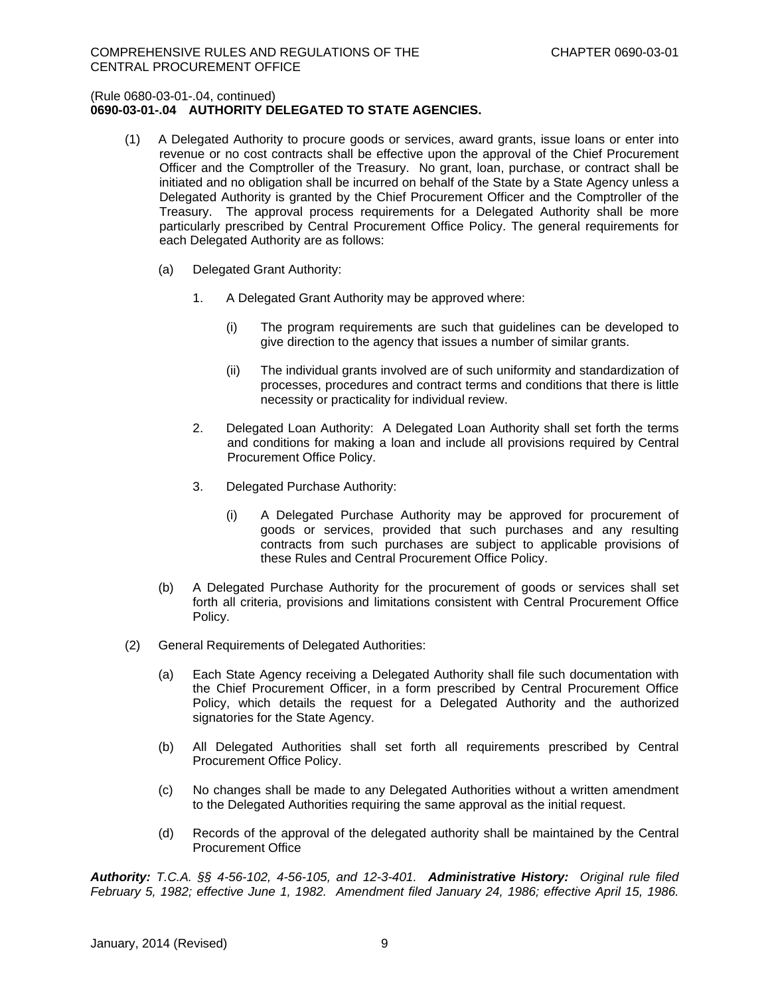## **0690-03-01-.04 AUTHORITY DELEGATED TO STATE AGENCIES.**

- (1) A Delegated Authority to procure goods or services, award grants, issue loans or enter into revenue or no cost contracts shall be effective upon the approval of the Chief Procurement Officer and the Comptroller of the Treasury. No grant, loan, purchase, or contract shall be initiated and no obligation shall be incurred on behalf of the State by a State Agency unless a Delegated Authority is granted by the Chief Procurement Officer and the Comptroller of the Treasury. The approval process requirements for a Delegated Authority shall be more particularly prescribed by Central Procurement Office Policy. The general requirements for each Delegated Authority are as follows:
	- (a) Delegated Grant Authority:
		- 1. A Delegated Grant Authority may be approved where:
			- (i) The program requirements are such that guidelines can be developed to give direction to the agency that issues a number of similar grants.
			- (ii) The individual grants involved are of such uniformity and standardization of processes, procedures and contract terms and conditions that there is little necessity or practicality for individual review.
		- 2. Delegated Loan Authority: A Delegated Loan Authority shall set forth the terms and conditions for making a loan and include all provisions required by Central Procurement Office Policy.
		- 3. Delegated Purchase Authority:
			- (i) A Delegated Purchase Authority may be approved for procurement of goods or services, provided that such purchases and any resulting contracts from such purchases are subject to applicable provisions of these Rules and Central Procurement Office Policy.
	- (b) A Delegated Purchase Authority for the procurement of goods or services shall set forth all criteria, provisions and limitations consistent with Central Procurement Office Policy.
- (2) General Requirements of Delegated Authorities:
	- (a) Each State Agency receiving a Delegated Authority shall file such documentation with the Chief Procurement Officer, in a form prescribed by Central Procurement Office Policy, which details the request for a Delegated Authority and the authorized signatories for the State Agency.
	- (b) All Delegated Authorities shall set forth all requirements prescribed by Central Procurement Office Policy.
	- (c) No changes shall be made to any Delegated Authorities without a written amendment to the Delegated Authorities requiring the same approval as the initial request.
	- (d) Records of the approval of the delegated authority shall be maintained by the Central Procurement Office

*Authority: T.C.A. §§ 4-56-102, 4-56-105, and 12-3-401. Administrative History: Original rule filed February 5, 1982; effective June 1, 1982. Amendment filed January 24, 1986; effective April 15, 1986.*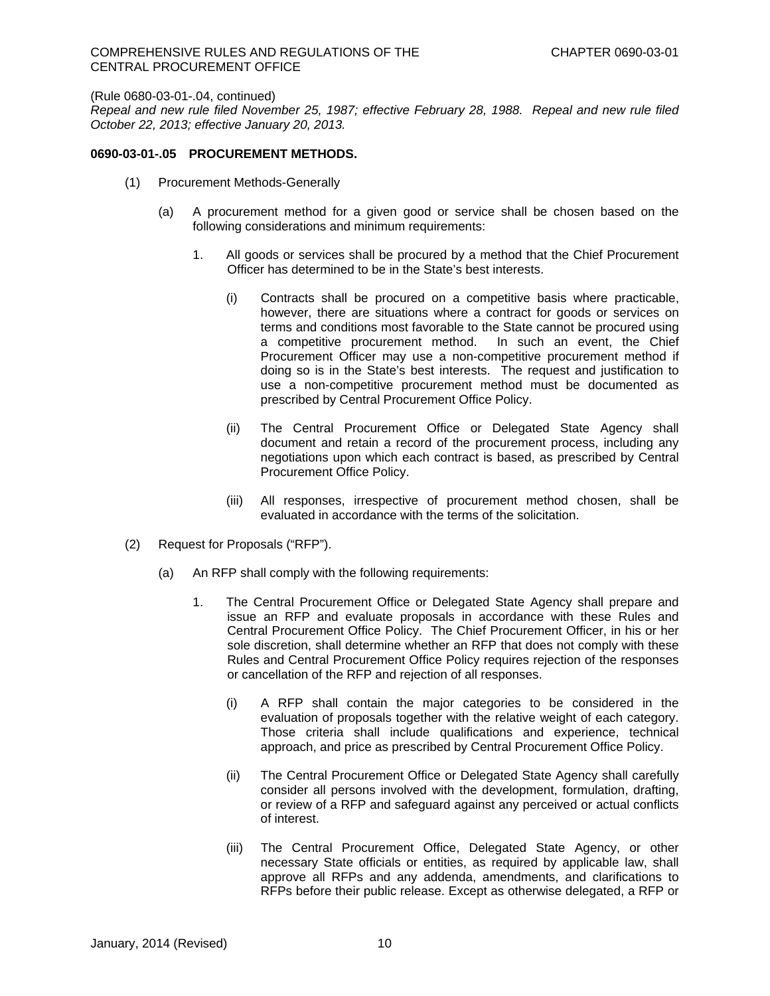*Repeal and new rule filed November 25, 1987; effective February 28, 1988. Repeal and new rule filed October 22, 2013; effective January 20, 2013.* 

## **0690-03-01-.05 PROCUREMENT METHODS.**

- (1) Procurement Methods-Generally
	- (a) A procurement method for a given good or service shall be chosen based on the following considerations and minimum requirements:
		- 1. All goods or services shall be procured by a method that the Chief Procurement Officer has determined to be in the State's best interests.
			- (i) Contracts shall be procured on a competitive basis where practicable, however, there are situations where a contract for goods or services on terms and conditions most favorable to the State cannot be procured using a competitive procurement method. In such an event, the Chief Procurement Officer may use a non-competitive procurement method if doing so is in the State's best interests. The request and justification to use a non-competitive procurement method must be documented as prescribed by Central Procurement Office Policy.
			- (ii) The Central Procurement Office or Delegated State Agency shall document and retain a record of the procurement process, including any negotiations upon which each contract is based, as prescribed by Central Procurement Office Policy.
			- (iii) All responses, irrespective of procurement method chosen, shall be evaluated in accordance with the terms of the solicitation.
- (2) Request for Proposals ("RFP").
	- (a) An RFP shall comply with the following requirements:
		- 1. The Central Procurement Office or Delegated State Agency shall prepare and issue an RFP and evaluate proposals in accordance with these Rules and Central Procurement Office Policy. The Chief Procurement Officer, in his or her sole discretion, shall determine whether an RFP that does not comply with these Rules and Central Procurement Office Policy requires rejection of the responses or cancellation of the RFP and rejection of all responses.
			- (i) A RFP shall contain the major categories to be considered in the evaluation of proposals together with the relative weight of each category. Those criteria shall include qualifications and experience, technical approach, and price as prescribed by Central Procurement Office Policy.
			- (ii) The Central Procurement Office or Delegated State Agency shall carefully consider all persons involved with the development, formulation, drafting, or review of a RFP and safeguard against any perceived or actual conflicts of interest.
			- (iii) The Central Procurement Office, Delegated State Agency, or other necessary State officials or entities, as required by applicable law, shall approve all RFPs and any addenda, amendments, and clarifications to RFPs before their public release. Except as otherwise delegated, a RFP or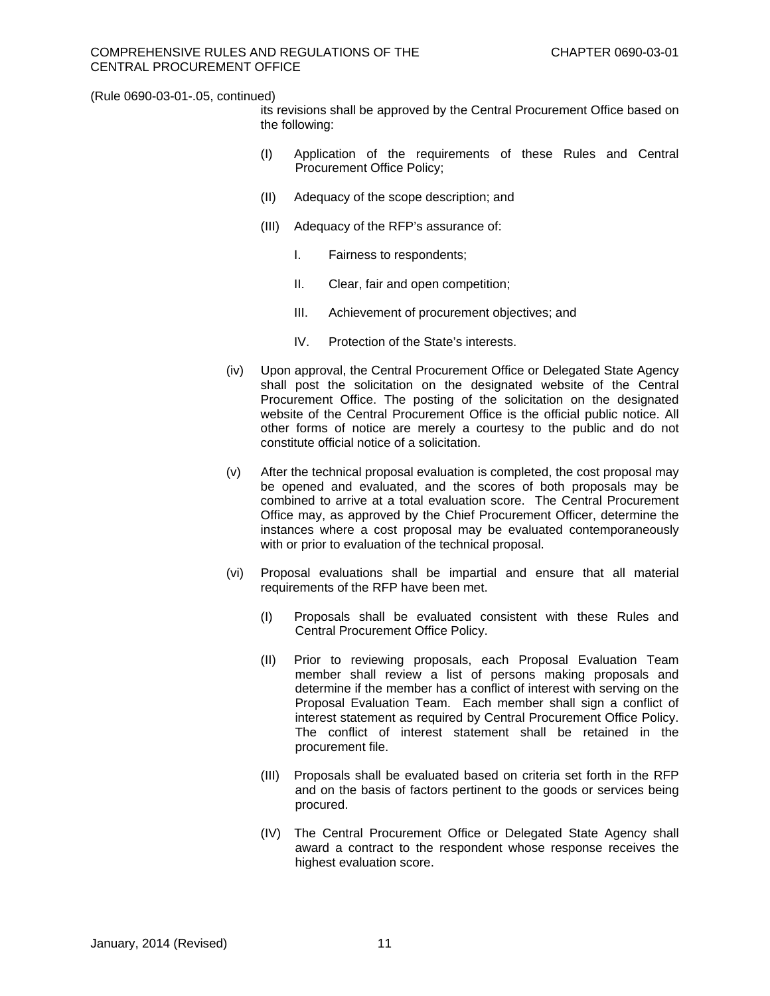its revisions shall be approved by the Central Procurement Office based on the following:

- (I) Application of the requirements of these Rules and Central Procurement Office Policy;
- (II) Adequacy of the scope description; and
- (III) Adequacy of the RFP's assurance of:
	- I. Fairness to respondents;
	- II. Clear, fair and open competition;
	- III. Achievement of procurement objectives; and
	- IV. Protection of the State's interests.
- (iv) Upon approval, the Central Procurement Office or Delegated State Agency shall post the solicitation on the designated website of the Central Procurement Office. The posting of the solicitation on the designated website of the Central Procurement Office is the official public notice. All other forms of notice are merely a courtesy to the public and do not constitute official notice of a solicitation.
- (v) After the technical proposal evaluation is completed, the cost proposal may be opened and evaluated, and the scores of both proposals may be combined to arrive at a total evaluation score. The Central Procurement Office may, as approved by the Chief Procurement Officer, determine the instances where a cost proposal may be evaluated contemporaneously with or prior to evaluation of the technical proposal.
- (vi) Proposal evaluations shall be impartial and ensure that all material requirements of the RFP have been met.
	- (I) Proposals shall be evaluated consistent with these Rules and Central Procurement Office Policy.
	- (II) Prior to reviewing proposals, each Proposal Evaluation Team member shall review a list of persons making proposals and determine if the member has a conflict of interest with serving on the Proposal Evaluation Team. Each member shall sign a conflict of interest statement as required by Central Procurement Office Policy. The conflict of interest statement shall be retained in the procurement file.
	- (III) Proposals shall be evaluated based on criteria set forth in the RFP and on the basis of factors pertinent to the goods or services being procured.
	- (IV) The Central Procurement Office or Delegated State Agency shall award a contract to the respondent whose response receives the highest evaluation score.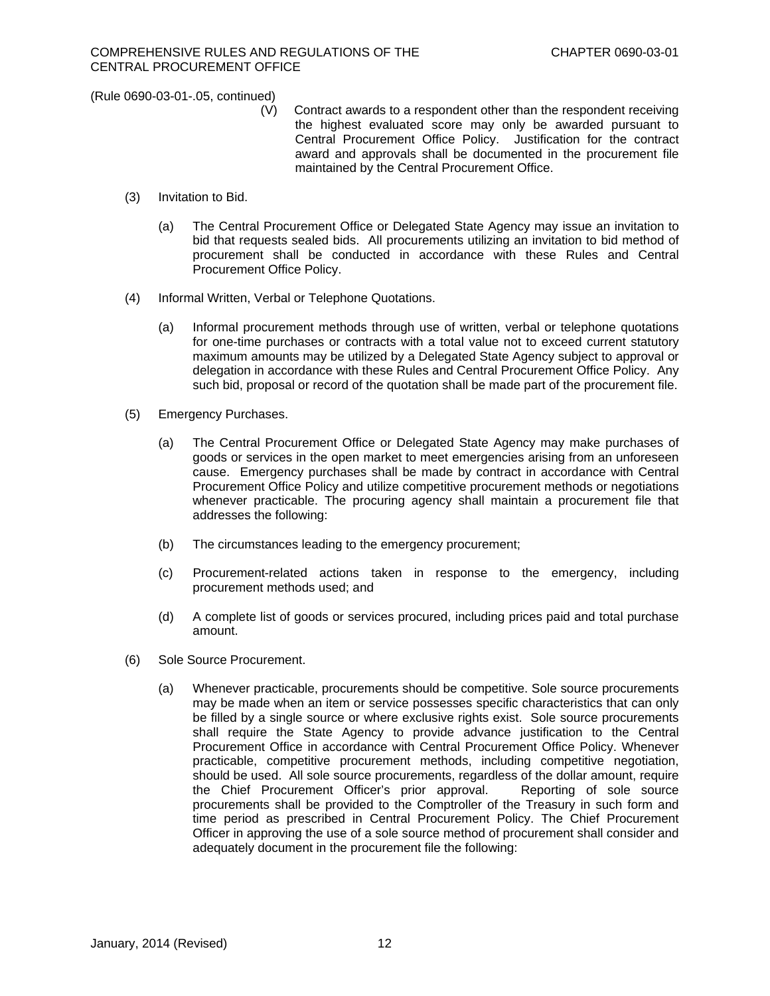- (V) Contract awards to a respondent other than the respondent receiving the highest evaluated score may only be awarded pursuant to Central Procurement Office Policy. Justification for the contract award and approvals shall be documented in the procurement file maintained by the Central Procurement Office.
- (3) Invitation to Bid.
	- (a) The Central Procurement Office or Delegated State Agency may issue an invitation to bid that requests sealed bids. All procurements utilizing an invitation to bid method of procurement shall be conducted in accordance with these Rules and Central Procurement Office Policy.
- (4) Informal Written, Verbal or Telephone Quotations.
	- (a) Informal procurement methods through use of written, verbal or telephone quotations for one-time purchases or contracts with a total value not to exceed current statutory maximum amounts may be utilized by a Delegated State Agency subject to approval or delegation in accordance with these Rules and Central Procurement Office Policy. Any such bid, proposal or record of the quotation shall be made part of the procurement file.
- (5) Emergency Purchases.
	- (a) The Central Procurement Office or Delegated State Agency may make purchases of goods or services in the open market to meet emergencies arising from an unforeseen cause. Emergency purchases shall be made by contract in accordance with Central Procurement Office Policy and utilize competitive procurement methods or negotiations whenever practicable. The procuring agency shall maintain a procurement file that addresses the following:
	- (b) The circumstances leading to the emergency procurement;
	- (c) Procurement-related actions taken in response to the emergency, including procurement methods used; and
	- (d) A complete list of goods or services procured, including prices paid and total purchase amount.
- (6) Sole Source Procurement.
	- (a) Whenever practicable, procurements should be competitive. Sole source procurements may be made when an item or service possesses specific characteristics that can only be filled by a single source or where exclusive rights exist. Sole source procurements shall require the State Agency to provide advance justification to the Central Procurement Office in accordance with Central Procurement Office Policy. Whenever practicable, competitive procurement methods, including competitive negotiation, should be used. All sole source procurements, regardless of the dollar amount, require the Chief Procurement Officer's prior approval. Reporting of sole source procurements shall be provided to the Comptroller of the Treasury in such form and time period as prescribed in Central Procurement Policy. The Chief Procurement Officer in approving the use of a sole source method of procurement shall consider and adequately document in the procurement file the following: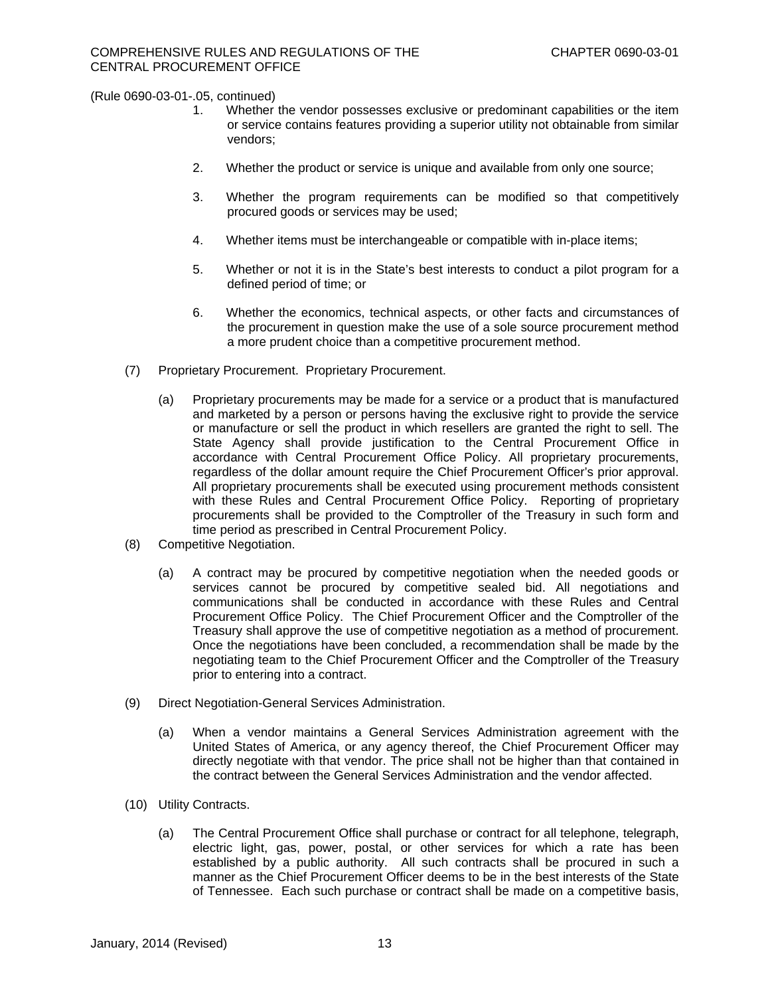- 1. Whether the vendor possesses exclusive or predominant capabilities or the item or service contains features providing a superior utility not obtainable from similar vendors;
- 2. Whether the product or service is unique and available from only one source;
- 3. Whether the program requirements can be modified so that competitively procured goods or services may be used;
- 4. Whether items must be interchangeable or compatible with in-place items;
- 5. Whether or not it is in the State's best interests to conduct a pilot program for a defined period of time; or
- 6. Whether the economics, technical aspects, or other facts and circumstances of the procurement in question make the use of a sole source procurement method a more prudent choice than a competitive procurement method.
- (7) Proprietary Procurement. Proprietary Procurement.
	- (a) Proprietary procurements may be made for a service or a product that is manufactured and marketed by a person or persons having the exclusive right to provide the service or manufacture or sell the product in which resellers are granted the right to sell. The State Agency shall provide justification to the Central Procurement Office in accordance with Central Procurement Office Policy. All proprietary procurements, regardless of the dollar amount require the Chief Procurement Officer's prior approval. All proprietary procurements shall be executed using procurement methods consistent with these Rules and Central Procurement Office Policy. Reporting of proprietary procurements shall be provided to the Comptroller of the Treasury in such form and time period as prescribed in Central Procurement Policy.
- (8) Competitive Negotiation.
	- (a) A contract may be procured by competitive negotiation when the needed goods or services cannot be procured by competitive sealed bid. All negotiations and communications shall be conducted in accordance with these Rules and Central Procurement Office Policy. The Chief Procurement Officer and the Comptroller of the Treasury shall approve the use of competitive negotiation as a method of procurement. Once the negotiations have been concluded, a recommendation shall be made by the negotiating team to the Chief Procurement Officer and the Comptroller of the Treasury prior to entering into a contract.
- (9) Direct Negotiation-General Services Administration.
	- (a) When a vendor maintains a General Services Administration agreement with the United States of America, or any agency thereof, the Chief Procurement Officer may directly negotiate with that vendor. The price shall not be higher than that contained in the contract between the General Services Administration and the vendor affected.
- (10) Utility Contracts.
	- (a) The Central Procurement Office shall purchase or contract for all telephone, telegraph, electric light, gas, power, postal, or other services for which a rate has been established by a public authority. All such contracts shall be procured in such a manner as the Chief Procurement Officer deems to be in the best interests of the State of Tennessee. Each such purchase or contract shall be made on a competitive basis,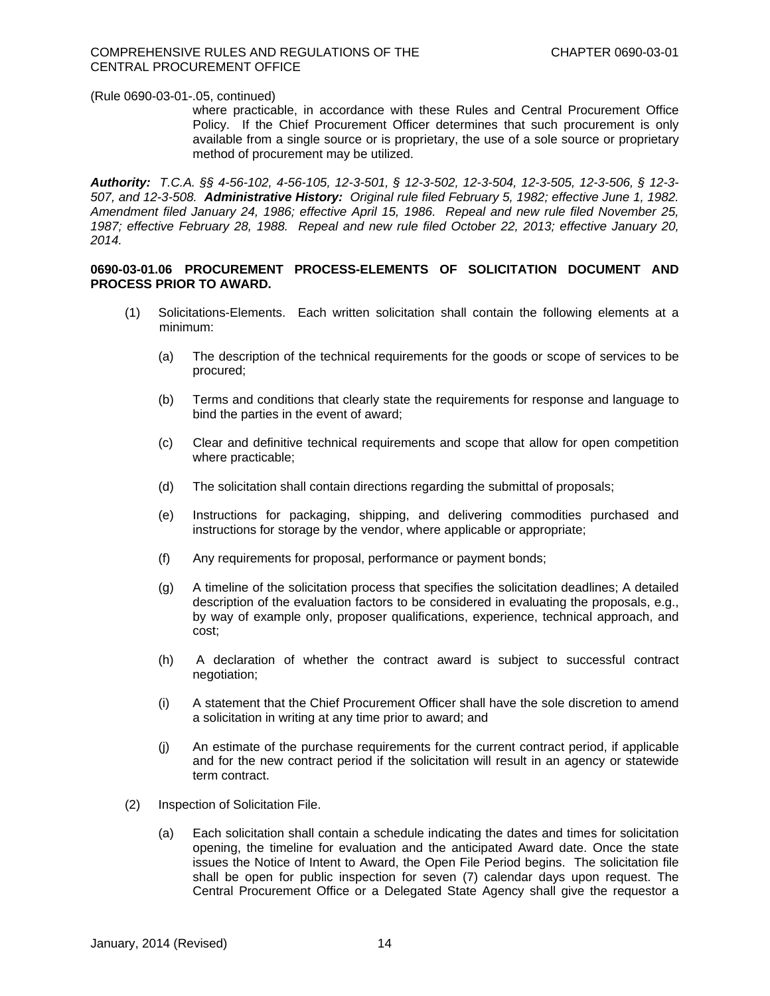where practicable, in accordance with these Rules and Central Procurement Office Policy. If the Chief Procurement Officer determines that such procurement is only available from a single source or is proprietary, the use of a sole source or proprietary method of procurement may be utilized.

*Authority: T.C.A. §§ 4-56-102, 4-56-105, 12-3-501, § 12-3-502, 12-3-504, 12-3-505, 12-3-506, § 12-3- 507, and 12-3-508. Administrative History: Original rule filed February 5, 1982; effective June 1, 1982. Amendment filed January 24, 1986; effective April 15, 1986. Repeal and new rule filed November 25, 1987; effective February 28, 1988. Repeal and new rule filed October 22, 2013; effective January 20, 2014.* 

## **0690-03-01.06 PROCUREMENT PROCESS-ELEMENTS OF SOLICITATION DOCUMENT AND PROCESS PRIOR TO AWARD.**

- (1) Solicitations-Elements.Each written solicitation shall contain the following elements at a minimum:
	- (a) The description of the technical requirements for the goods or scope of services to be procured;
	- (b) Terms and conditions that clearly state the requirements for response and language to bind the parties in the event of award;
	- (c) Clear and definitive technical requirements and scope that allow for open competition where practicable;
	- (d) The solicitation shall contain directions regarding the submittal of proposals;
	- (e) Instructions for packaging, shipping, and delivering commodities purchased and instructions for storage by the vendor, where applicable or appropriate;
	- (f) Any requirements for proposal, performance or payment bonds;
	- (g) A timeline of the solicitation process that specifies the solicitation deadlines; A detailed description of the evaluation factors to be considered in evaluating the proposals, e.g., by way of example only, proposer qualifications, experience, technical approach, and cost;
	- (h) A declaration of whether the contract award is subject to successful contract negotiation;
	- (i) A statement that the Chief Procurement Officer shall have the sole discretion to amend a solicitation in writing at any time prior to award; and
	- (j) An estimate of the purchase requirements for the current contract period, if applicable and for the new contract period if the solicitation will result in an agency or statewide term contract.
- (2) Inspection of Solicitation File.
	- (a) Each solicitation shall contain a schedule indicating the dates and times for solicitation opening, the timeline for evaluation and the anticipated Award date. Once the state issues the Notice of Intent to Award, the Open File Period begins. The solicitation file shall be open for public inspection for seven (7) calendar days upon request. The Central Procurement Office or a Delegated State Agency shall give the requestor a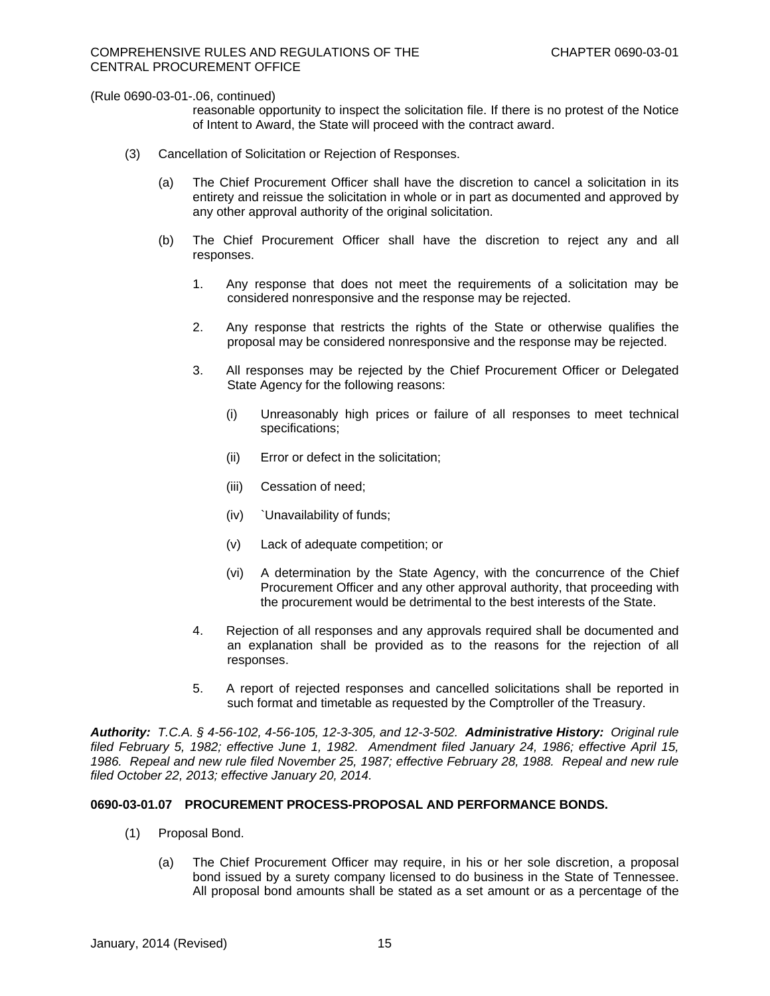reasonable opportunity to inspect the solicitation file. If there is no protest of the Notice of Intent to Award, the State will proceed with the contract award.

- (3) Cancellation of Solicitation or Rejection of Responses.
	- (a) The Chief Procurement Officer shall have the discretion to cancel a solicitation in its entirety and reissue the solicitation in whole or in part as documented and approved by any other approval authority of the original solicitation.
	- (b) The Chief Procurement Officer shall have the discretion to reject any and all responses.
		- 1. Any response that does not meet the requirements of a solicitation may be considered nonresponsive and the response may be rejected.
		- 2. Any response that restricts the rights of the State or otherwise qualifies the proposal may be considered nonresponsive and the response may be rejected.
		- 3. All responses may be rejected by the Chief Procurement Officer or Delegated State Agency for the following reasons:
			- (i) Unreasonably high prices or failure of all responses to meet technical specifications;
			- (ii) Error or defect in the solicitation;
			- (iii) Cessation of need;
			- (iv) `Unavailability of funds;
			- (v) Lack of adequate competition; or
			- (vi) A determination by the State Agency, with the concurrence of the Chief Procurement Officer and any other approval authority, that proceeding with the procurement would be detrimental to the best interests of the State.
		- 4. Rejection of all responses and any approvals required shall be documented and an explanation shall be provided as to the reasons for the rejection of all responses.
		- 5. A report of rejected responses and cancelled solicitations shall be reported in such format and timetable as requested by the Comptroller of the Treasury.

*Authority: T.C.A. § 4-56-102, 4-56-105, 12-3-305, and 12-3-502. Administrative History: Original rule filed February 5, 1982; effective June 1, 1982. Amendment filed January 24, 1986; effective April 15, 1986. Repeal and new rule filed November 25, 1987; effective February 28, 1988. Repeal and new rule filed October 22, 2013; effective January 20, 2014.*

## **0690-03-01.07 PROCUREMENT PROCESS-PROPOSAL AND PERFORMANCE BONDS.**

- (1) Proposal Bond.
	- (a) The Chief Procurement Officer may require, in his or her sole discretion, a proposal bond issued by a surety company licensed to do business in the State of Tennessee. All proposal bond amounts shall be stated as a set amount or as a percentage of the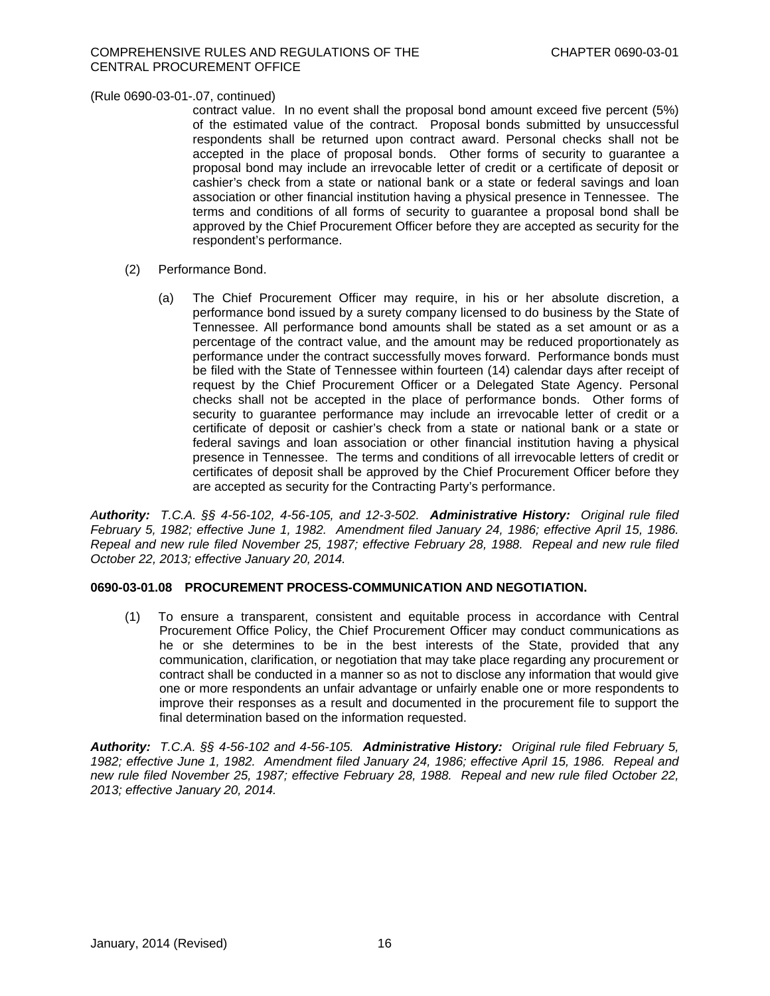contract value. In no event shall the proposal bond amount exceed five percent (5%) of the estimated value of the contract. Proposal bonds submitted by unsuccessful respondents shall be returned upon contract award. Personal checks shall not be accepted in the place of proposal bonds. Other forms of security to guarantee a proposal bond may include an irrevocable letter of credit or a certificate of deposit or cashier's check from a state or national bank or a state or federal savings and loan association or other financial institution having a physical presence in Tennessee. The terms and conditions of all forms of security to guarantee a proposal bond shall be approved by the Chief Procurement Officer before they are accepted as security for the respondent's performance.

- (2) Performance Bond.
	- (a) The Chief Procurement Officer may require, in his or her absolute discretion, a performance bond issued by a surety company licensed to do business by the State of Tennessee. All performance bond amounts shall be stated as a set amount or as a percentage of the contract value, and the amount may be reduced proportionately as performance under the contract successfully moves forward. Performance bonds must be filed with the State of Tennessee within fourteen (14) calendar days after receipt of request by the Chief Procurement Officer or a Delegated State Agency. Personal checks shall not be accepted in the place of performance bonds. Other forms of security to guarantee performance may include an irrevocable letter of credit or a certificate of deposit or cashier's check from a state or national bank or a state or federal savings and loan association or other financial institution having a physical presence in Tennessee. The terms and conditions of all irrevocable letters of credit or certificates of deposit shall be approved by the Chief Procurement Officer before they are accepted as security for the Contracting Party's performance.

*Authority: T.C.A. §§ 4-56-102, 4-56-105, and 12-3-502. Administrative History: Original rule filed February 5, 1982; effective June 1, 1982. Amendment filed January 24, 1986; effective April 15, 1986. Repeal and new rule filed November 25, 1987; effective February 28, 1988. Repeal and new rule filed October 22, 2013; effective January 20, 2014.*

## **0690-03-01.08 PROCUREMENT PROCESS-COMMUNICATION AND NEGOTIATION.**

(1) To ensure a transparent, consistent and equitable process in accordance with Central Procurement Office Policy, the Chief Procurement Officer may conduct communications as he or she determines to be in the best interests of the State, provided that any communication, clarification, or negotiation that may take place regarding any procurement or contract shall be conducted in a manner so as not to disclose any information that would give one or more respondents an unfair advantage or unfairly enable one or more respondents to improve their responses as a result and documented in the procurement file to support the final determination based on the information requested.

*Authority: T.C.A. §§ 4-56-102 and 4-56-105. Administrative History: Original rule filed February 5, 1982; effective June 1, 1982. Amendment filed January 24, 1986; effective April 15, 1986. Repeal and new rule filed November 25, 1987; effective February 28, 1988. Repeal and new rule filed October 22, 2013; effective January 20, 2014.*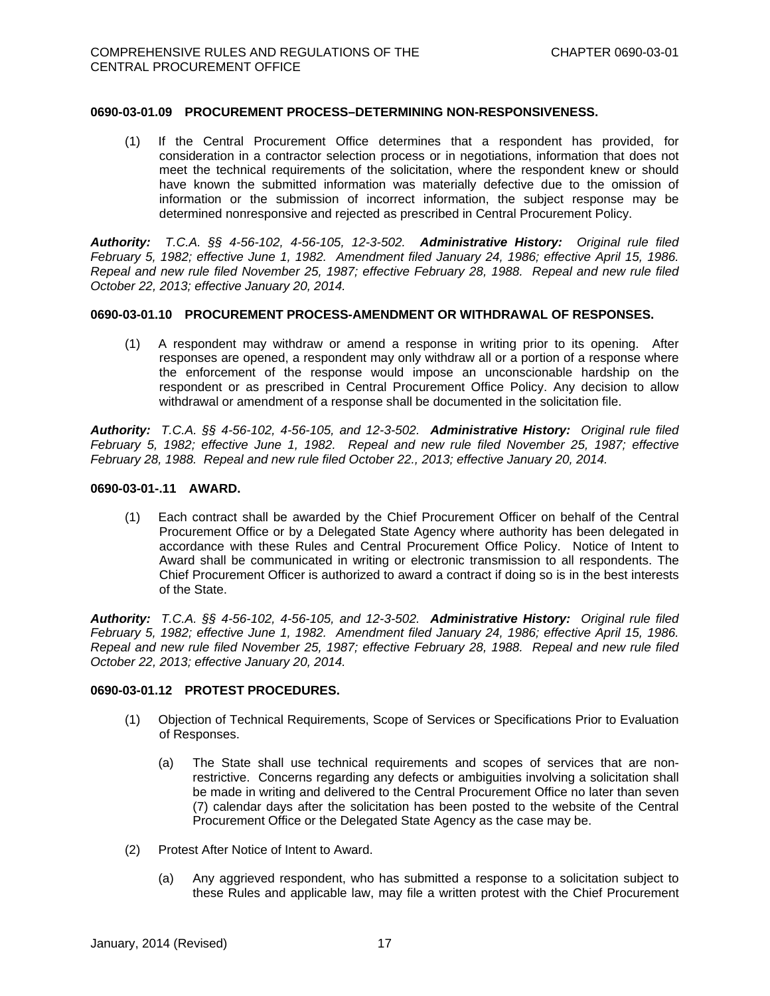#### **0690-03-01.09 PROCUREMENT PROCESS–DETERMINING NON-RESPONSIVENESS.**

(1) If the Central Procurement Office determines that a respondent has provided, for consideration in a contractor selection process or in negotiations, information that does not meet the technical requirements of the solicitation, where the respondent knew or should have known the submitted information was materially defective due to the omission of information or the submission of incorrect information, the subject response may be determined nonresponsive and rejected as prescribed in Central Procurement Policy.

*Authority: T.C.A. §§ 4-56-102, 4-56-105, 12-3-502. Administrative History: Original rule filed February 5, 1982; effective June 1, 1982. Amendment filed January 24, 1986; effective April 15, 1986. Repeal and new rule filed November 25, 1987; effective February 28, 1988. Repeal and new rule filed October 22, 2013; effective January 20, 2014.*

#### **0690-03-01.10 PROCUREMENT PROCESS-AMENDMENT OR WITHDRAWAL OF RESPONSES.**

(1) A respondent may withdraw or amend a response in writing prior to its opening. After responses are opened, a respondent may only withdraw all or a portion of a response where the enforcement of the response would impose an unconscionable hardship on the respondent or as prescribed in Central Procurement Office Policy. Any decision to allow withdrawal or amendment of a response shall be documented in the solicitation file.

*Authority: T.C.A. §§ 4-56-102, 4-56-105, and 12-3-502. Administrative History: Original rule filed February 5, 1982; effective June 1, 1982. Repeal and new rule filed November 25, 1987; effective February 28, 1988. Repeal and new rule filed October 22., 2013; effective January 20, 2014.* 

#### **0690-03-01-.11 AWARD.**

(1) Each contract shall be awarded by the Chief Procurement Officer on behalf of the Central Procurement Office or by a Delegated State Agency where authority has been delegated in accordance with these Rules and Central Procurement Office Policy. Notice of Intent to Award shall be communicated in writing or electronic transmission to all respondents. The Chief Procurement Officer is authorized to award a contract if doing so is in the best interests of the State.

*Authority: T.C.A. §§ 4-56-102, 4-56-105, and 12-3-502. Administrative History: Original rule filed February 5, 1982; effective June 1, 1982. Amendment filed January 24, 1986; effective April 15, 1986. Repeal and new rule filed November 25, 1987; effective February 28, 1988. Repeal and new rule filed October 22, 2013; effective January 20, 2014.*

#### **0690-03-01.12 PROTEST PROCEDURES.**

- (1) Objection of Technical Requirements, Scope of Services or Specifications Prior to Evaluation of Responses.
	- (a) The State shall use technical requirements and scopes of services that are nonrestrictive. Concerns regarding any defects or ambiguities involving a solicitation shall be made in writing and delivered to the Central Procurement Office no later than seven (7) calendar days after the solicitation has been posted to the website of the Central Procurement Office or the Delegated State Agency as the case may be.
- (2) Protest After Notice of Intent to Award.
	- (a) Any aggrieved respondent, who has submitted a response to a solicitation subject to these Rules and applicable law, may file a written protest with the Chief Procurement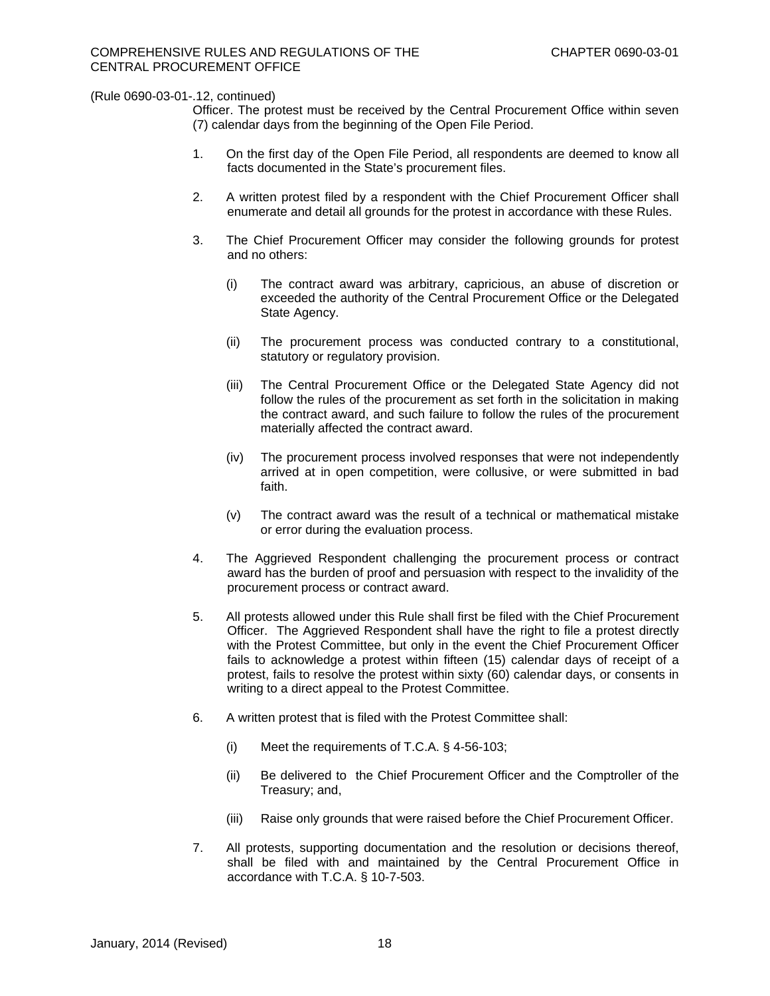Officer. The protest must be received by the Central Procurement Office within seven (7) calendar days from the beginning of the Open File Period.

- 1. On the first day of the Open File Period, all respondents are deemed to know all facts documented in the State's procurement files.
- 2. A written protest filed by a respondent with the Chief Procurement Officer shall enumerate and detail all grounds for the protest in accordance with these Rules.
- 3. The Chief Procurement Officer may consider the following grounds for protest and no others:
	- (i) The contract award was arbitrary, capricious, an abuse of discretion or exceeded the authority of the Central Procurement Office or the Delegated State Agency.
	- (ii) The procurement process was conducted contrary to a constitutional, statutory or regulatory provision.
	- (iii) The Central Procurement Office or the Delegated State Agency did not follow the rules of the procurement as set forth in the solicitation in making the contract award, and such failure to follow the rules of the procurement materially affected the contract award.
	- (iv) The procurement process involved responses that were not independently arrived at in open competition, were collusive, or were submitted in bad faith.
	- (v) The contract award was the result of a technical or mathematical mistake or error during the evaluation process.
- 4. The Aggrieved Respondent challenging the procurement process or contract award has the burden of proof and persuasion with respect to the invalidity of the procurement process or contract award.
- 5. All protests allowed under this Rule shall first be filed with the Chief Procurement Officer. The Aggrieved Respondent shall have the right to file a protest directly with the Protest Committee, but only in the event the Chief Procurement Officer fails to acknowledge a protest within fifteen (15) calendar days of receipt of a protest, fails to resolve the protest within sixty (60) calendar days, or consents in writing to a direct appeal to the Protest Committee.
- 6. A written protest that is filed with the Protest Committee shall:
	- (i) Meet the requirements of T.C.A. § 4-56-103;
	- (ii) Be delivered to the Chief Procurement Officer and the Comptroller of the Treasury; and,
	- (iii) Raise only grounds that were raised before the Chief Procurement Officer.
- 7. All protests, supporting documentation and the resolution or decisions thereof, shall be filed with and maintained by the Central Procurement Office in accordance with T.C.A. § 10-7-503.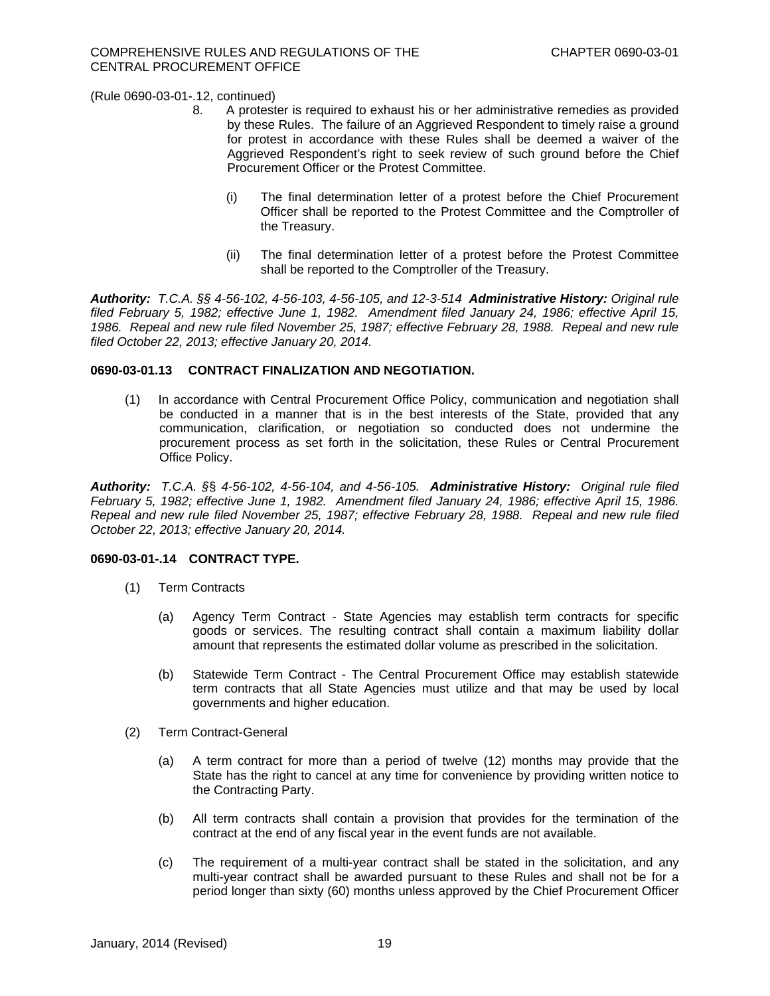- 8. A protester is required to exhaust his or her administrative remedies as provided by these Rules. The failure of an Aggrieved Respondent to timely raise a ground for protest in accordance with these Rules shall be deemed a waiver of the Aggrieved Respondent's right to seek review of such ground before the Chief Procurement Officer or the Protest Committee.
	- (i) The final determination letter of a protest before the Chief Procurement Officer shall be reported to the Protest Committee and the Comptroller of the Treasury.
	- (ii) The final determination letter of a protest before the Protest Committee shall be reported to the Comptroller of the Treasury.

*Authority: T.C.A. §§ 4-56-102, 4-56-103, 4-56-105, and 12-3-514 Administrative History: Original rule filed February 5, 1982; effective June 1, 1982. Amendment filed January 24, 1986; effective April 15, 1986. Repeal and new rule filed November 25, 1987; effective February 28, 1988. Repeal and new rule filed October 22, 2013; effective January 20, 2014.* 

## **0690-03-01.13 CONTRACT FINALIZATION AND NEGOTIATION.**

(1) In accordance with Central Procurement Office Policy, communication and negotiation shall be conducted in a manner that is in the best interests of the State, provided that any communication, clarification, or negotiation so conducted does not undermine the procurement process as set forth in the solicitation, these Rules or Central Procurement Office Policy.

*Authority: T.C.A. §*§ *4-56-102, 4-56-104, and 4-56-105. Administrative History: Original rule filed February 5, 1982; effective June 1, 1982. Amendment filed January 24, 1986; effective April 15, 1986. Repeal and new rule filed November 25, 1987; effective February 28, 1988. Repeal and new rule filed October 22, 2013; effective January 20, 2014.* 

### **0690-03-01-.14 CONTRACT TYPE.**

- (1) Term Contracts
	- (a) Agency Term Contract State Agencies may establish term contracts for specific goods or services. The resulting contract shall contain a maximum liability dollar amount that represents the estimated dollar volume as prescribed in the solicitation.
	- (b) Statewide Term Contract The Central Procurement Office may establish statewide term contracts that all State Agencies must utilize and that may be used by local governments and higher education.
- (2) Term Contract-General
	- (a) A term contract for more than a period of twelve (12) months may provide that the State has the right to cancel at any time for convenience by providing written notice to the Contracting Party.
	- (b) All term contracts shall contain a provision that provides for the termination of the contract at the end of any fiscal year in the event funds are not available.
	- (c) The requirement of a multi-year contract shall be stated in the solicitation, and any multi-year contract shall be awarded pursuant to these Rules and shall not be for a period longer than sixty (60) months unless approved by the Chief Procurement Officer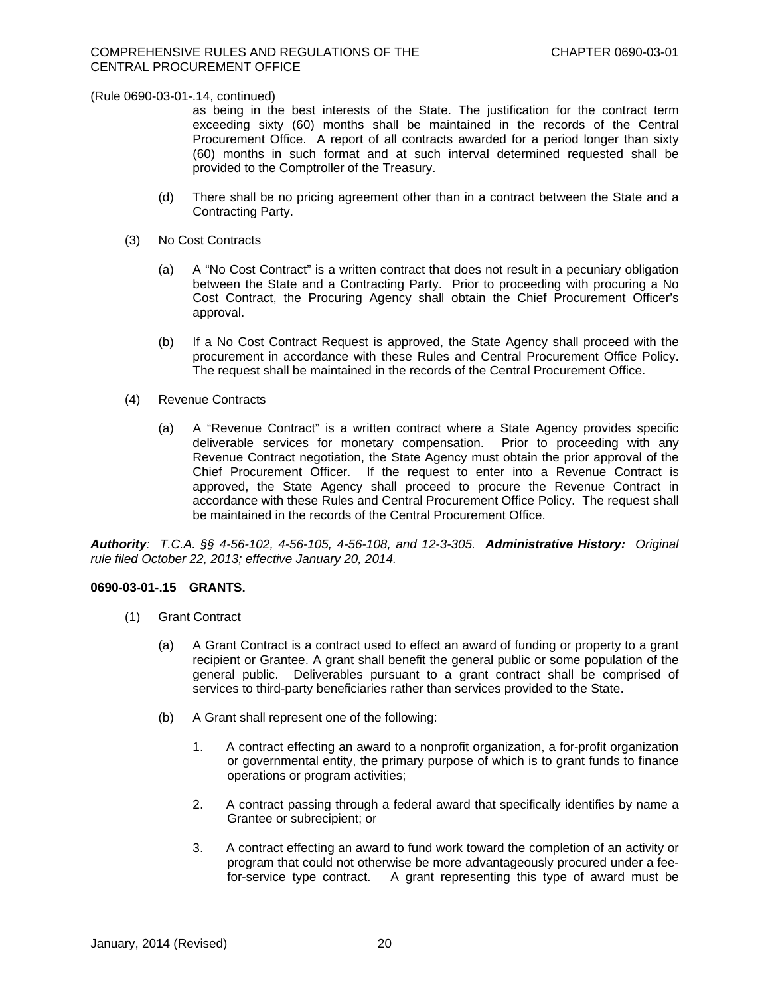as being in the best interests of the State. The justification for the contract term exceeding sixty (60) months shall be maintained in the records of the Central Procurement Office. A report of all contracts awarded for a period longer than sixty (60) months in such format and at such interval determined requested shall be provided to the Comptroller of the Treasury.

- (d) There shall be no pricing agreement other than in a contract between the State and a Contracting Party.
- (3) No Cost Contracts
	- (a) A "No Cost Contract" is a written contract that does not result in a pecuniary obligation between the State and a Contracting Party. Prior to proceeding with procuring a No Cost Contract, the Procuring Agency shall obtain the Chief Procurement Officer's approval.
	- (b) If a No Cost Contract Request is approved, the State Agency shall proceed with the procurement in accordance with these Rules and Central Procurement Office Policy. The request shall be maintained in the records of the Central Procurement Office.
- (4) Revenue Contracts
	- (a) A "Revenue Contract" is a written contract where a State Agency provides specific deliverable services for monetary compensation. Prior to proceeding with any Revenue Contract negotiation, the State Agency must obtain the prior approval of the Chief Procurement Officer. If the request to enter into a Revenue Contract is approved, the State Agency shall proceed to procure the Revenue Contract in accordance with these Rules and Central Procurement Office Policy. The request shall be maintained in the records of the Central Procurement Office.

*Authority: T.C.A. §§ 4-56-102, 4-56-105, 4-56-108, and 12-3-305. Administrative History: Original rule filed October 22, 2013; effective January 20, 2014.* 

### **0690-03-01-.15 GRANTS.**

- (1) Grant Contract
	- (a) A Grant Contract is a contract used to effect an award of funding or property to a grant recipient or Grantee. A grant shall benefit the general public or some population of the general public. Deliverables pursuant to a grant contract shall be comprised of services to third-party beneficiaries rather than services provided to the State.
	- (b) A Grant shall represent one of the following:
		- 1. A contract effecting an award to a nonprofit organization, a for-profit organization or governmental entity, the primary purpose of which is to grant funds to finance operations or program activities;
		- 2. A contract passing through a federal award that specifically identifies by name a Grantee or subrecipient; or
		- 3. A contract effecting an award to fund work toward the completion of an activity or program that could not otherwise be more advantageously procured under a feefor-service type contract. A grant representing this type of award must be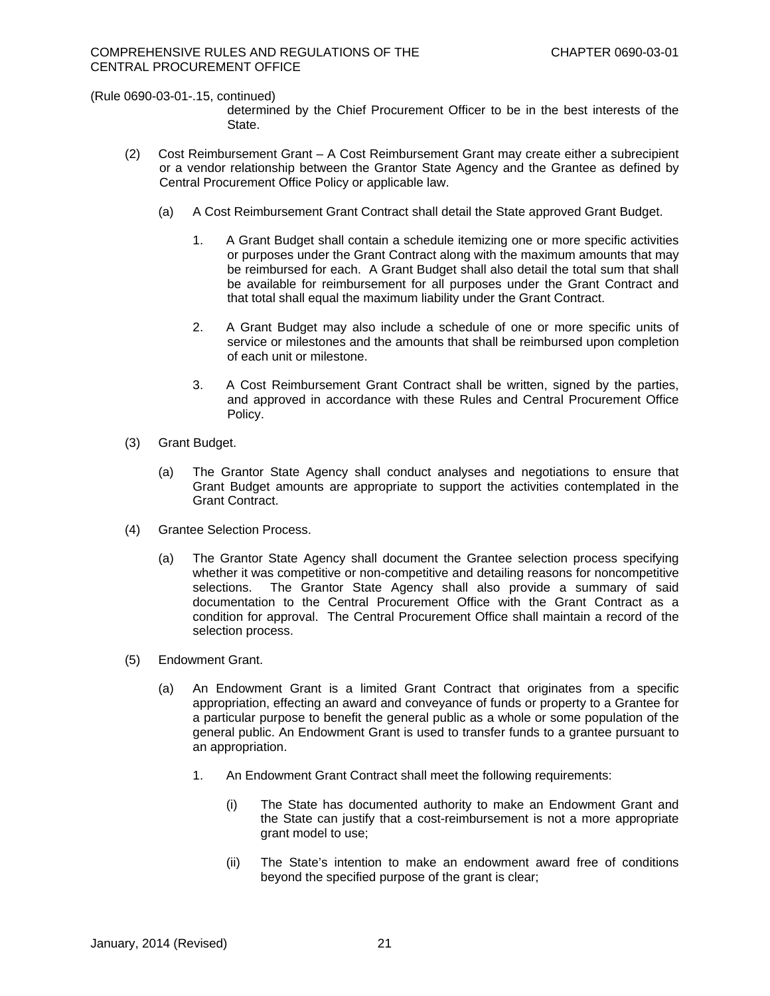determined by the Chief Procurement Officer to be in the best interests of the State.

- (2) Cost Reimbursement Grant A Cost Reimbursement Grant may create either a subrecipient or a vendor relationship between the Grantor State Agency and the Grantee as defined by Central Procurement Office Policy or applicable law.
	- (a) A Cost Reimbursement Grant Contract shall detail the State approved Grant Budget.
		- 1. A Grant Budget shall contain a schedule itemizing one or more specific activities or purposes under the Grant Contract along with the maximum amounts that may be reimbursed for each. A Grant Budget shall also detail the total sum that shall be available for reimbursement for all purposes under the Grant Contract and that total shall equal the maximum liability under the Grant Contract.
		- 2. A Grant Budget may also include a schedule of one or more specific units of service or milestones and the amounts that shall be reimbursed upon completion of each unit or milestone.
		- 3. A Cost Reimbursement Grant Contract shall be written, signed by the parties, and approved in accordance with these Rules and Central Procurement Office Policy.
- (3) Grant Budget.
	- (a) The Grantor State Agency shall conduct analyses and negotiations to ensure that Grant Budget amounts are appropriate to support the activities contemplated in the Grant Contract.
- (4) Grantee Selection Process.
	- (a) The Grantor State Agency shall document the Grantee selection process specifying whether it was competitive or non-competitive and detailing reasons for noncompetitive selections. The Grantor State Agency shall also provide a summary of said documentation to the Central Procurement Office with the Grant Contract as a condition for approval. The Central Procurement Office shall maintain a record of the selection process.
- (5) Endowment Grant.
	- (a) An Endowment Grant is a limited Grant Contract that originates from a specific appropriation, effecting an award and conveyance of funds or property to a Grantee for a particular purpose to benefit the general public as a whole or some population of the general public. An Endowment Grant is used to transfer funds to a grantee pursuant to an appropriation.
		- 1. An Endowment Grant Contract shall meet the following requirements:
			- (i) The State has documented authority to make an Endowment Grant and the State can justify that a cost-reimbursement is not a more appropriate grant model to use;
			- (ii) The State's intention to make an endowment award free of conditions beyond the specified purpose of the grant is clear;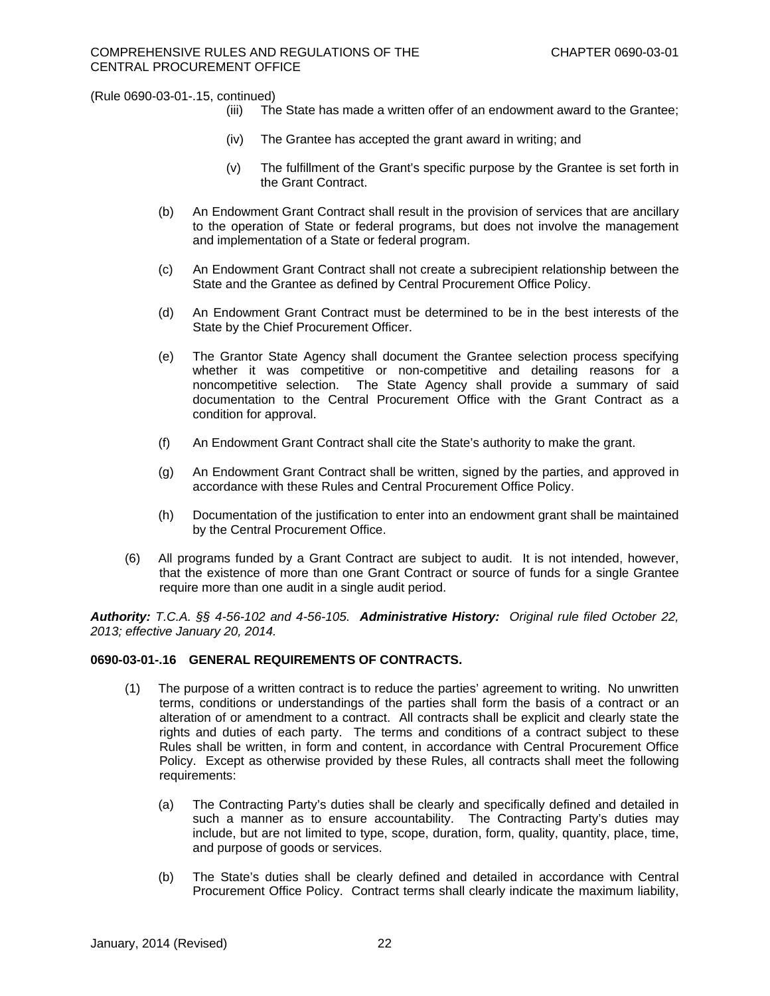- (iii) The State has made a written offer of an endowment award to the Grantee;
- (iv) The Grantee has accepted the grant award in writing; and
- (v) The fulfillment of the Grant's specific purpose by the Grantee is set forth in the Grant Contract.
- (b) An Endowment Grant Contract shall result in the provision of services that are ancillary to the operation of State or federal programs, but does not involve the management and implementation of a State or federal program.
- (c) An Endowment Grant Contract shall not create a subrecipient relationship between the State and the Grantee as defined by Central Procurement Office Policy.
- (d) An Endowment Grant Contract must be determined to be in the best interests of the State by the Chief Procurement Officer.
- (e) The Grantor State Agency shall document the Grantee selection process specifying whether it was competitive or non-competitive and detailing reasons for a noncompetitive selection. The State Agency shall provide a summary of said documentation to the Central Procurement Office with the Grant Contract as a condition for approval.
- (f) An Endowment Grant Contract shall cite the State's authority to make the grant.
- (g) An Endowment Grant Contract shall be written, signed by the parties, and approved in accordance with these Rules and Central Procurement Office Policy.
- (h) Documentation of the justification to enter into an endowment grant shall be maintained by the Central Procurement Office.
- (6) All programs funded by a Grant Contract are subject to audit. It is not intended, however, that the existence of more than one Grant Contract or source of funds for a single Grantee require more than one audit in a single audit period.

*Authority: T.C.A. §§ 4-56-102 and 4-56-105. Administrative History: Original rule filed October 22, 2013; effective January 20, 2014.* 

## **0690-03-01-.16 GENERAL REQUIREMENTS OF CONTRACTS.**

- (1) The purpose of a written contract is to reduce the parties' agreement to writing. No unwritten terms, conditions or understandings of the parties shall form the basis of a contract or an alteration of or amendment to a contract. All contracts shall be explicit and clearly state the rights and duties of each party. The terms and conditions of a contract subject to these Rules shall be written, in form and content, in accordance with Central Procurement Office Policy. Except as otherwise provided by these Rules, all contracts shall meet the following requirements:
	- (a) The Contracting Party's duties shall be clearly and specifically defined and detailed in such a manner as to ensure accountability. The Contracting Party's duties may include, but are not limited to type, scope, duration, form, quality, quantity, place, time, and purpose of goods or services.
	- (b) The State's duties shall be clearly defined and detailed in accordance with Central Procurement Office Policy. Contract terms shall clearly indicate the maximum liability,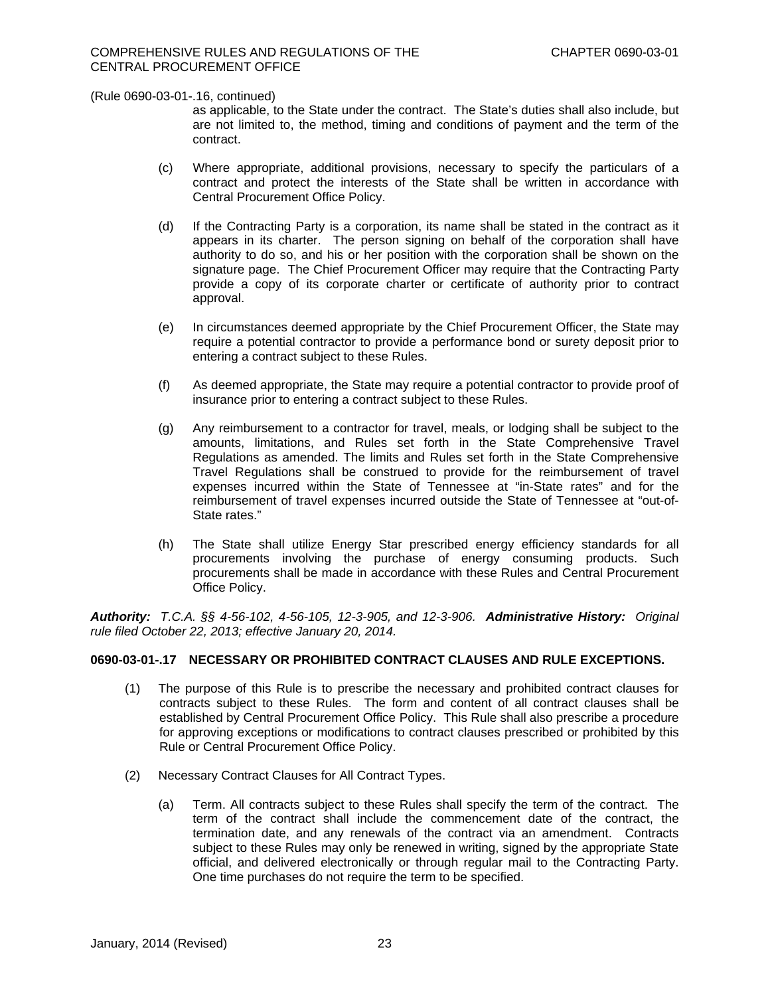as applicable, to the State under the contract. The State's duties shall also include, but are not limited to, the method, timing and conditions of payment and the term of the contract.

- (c) Where appropriate, additional provisions, necessary to specify the particulars of a contract and protect the interests of the State shall be written in accordance with Central Procurement Office Policy.
- (d) If the Contracting Party is a corporation, its name shall be stated in the contract as it appears in its charter. The person signing on behalf of the corporation shall have authority to do so, and his or her position with the corporation shall be shown on the signature page. The Chief Procurement Officer may require that the Contracting Party provide a copy of its corporate charter or certificate of authority prior to contract approval.
- (e) In circumstances deemed appropriate by the Chief Procurement Officer, the State may require a potential contractor to provide a performance bond or surety deposit prior to entering a contract subject to these Rules.
- (f) As deemed appropriate, the State may require a potential contractor to provide proof of insurance prior to entering a contract subject to these Rules.
- (g) Any reimbursement to a contractor for travel, meals, or lodging shall be subject to the amounts, limitations, and Rules set forth in the State Comprehensive Travel Regulations as amended. The limits and Rules set forth in the State Comprehensive Travel Regulations shall be construed to provide for the reimbursement of travel expenses incurred within the State of Tennessee at "in-State rates" and for the reimbursement of travel expenses incurred outside the State of Tennessee at "out-of-State rates."
- (h) The State shall utilize Energy Star prescribed energy efficiency standards for all procurements involving the purchase of energy consuming products. Such procurements shall be made in accordance with these Rules and Central Procurement Office Policy.

*Authority: T.C.A. §§ 4-56-102, 4-56-105, 12-3-905, and 12-3-906. Administrative History: Original rule filed October 22, 2013; effective January 20, 2014.* 

## **0690-03-01-.17 NECESSARY OR PROHIBITED CONTRACT CLAUSES AND RULE EXCEPTIONS.**

- (1) The purpose of this Rule is to prescribe the necessary and prohibited contract clauses for contracts subject to these Rules. The form and content of all contract clauses shall be established by Central Procurement Office Policy. This Rule shall also prescribe a procedure for approving exceptions or modifications to contract clauses prescribed or prohibited by this Rule or Central Procurement Office Policy.
- (2) Necessary Contract Clauses for All Contract Types.
	- (a) Term. All contracts subject to these Rules shall specify the term of the contract. The term of the contract shall include the commencement date of the contract, the termination date, and any renewals of the contract via an amendment. Contracts subject to these Rules may only be renewed in writing, signed by the appropriate State official, and delivered electronically or through regular mail to the Contracting Party. One time purchases do not require the term to be specified.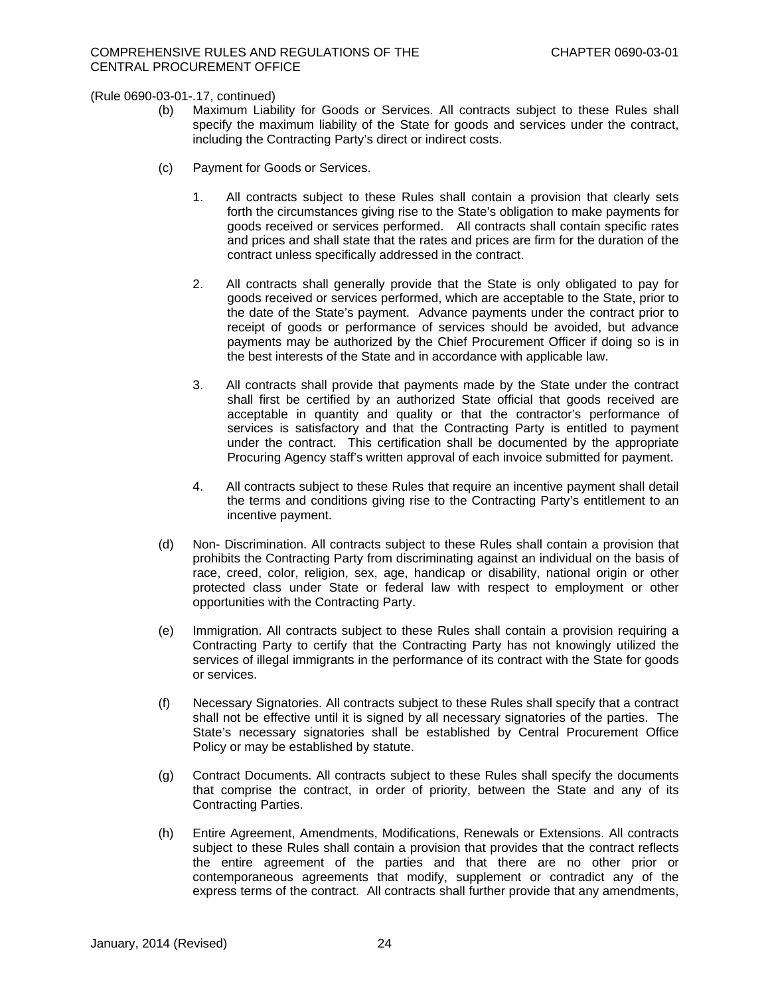- (b) Maximum Liability for Goods or Services. All contracts subject to these Rules shall specify the maximum liability of the State for goods and services under the contract, including the Contracting Party's direct or indirect costs.
- (c) Payment for Goods or Services.
	- 1. All contracts subject to these Rules shall contain a provision that clearly sets forth the circumstances giving rise to the State's obligation to make payments for goods received or services performed. All contracts shall contain specific rates and prices and shall state that the rates and prices are firm for the duration of the contract unless specifically addressed in the contract.
	- 2. All contracts shall generally provide that the State is only obligated to pay for goods received or services performed, which are acceptable to the State, prior to the date of the State's payment. Advance payments under the contract prior to receipt of goods or performance of services should be avoided, but advance payments may be authorized by the Chief Procurement Officer if doing so is in the best interests of the State and in accordance with applicable law.
	- 3. All contracts shall provide that payments made by the State under the contract shall first be certified by an authorized State official that goods received are acceptable in quantity and quality or that the contractor's performance of services is satisfactory and that the Contracting Party is entitled to payment under the contract. This certification shall be documented by the appropriate Procuring Agency staff's written approval of each invoice submitted for payment.
	- 4. All contracts subject to these Rules that require an incentive payment shall detail the terms and conditions giving rise to the Contracting Party's entitlement to an incentive payment.
- (d) Non- Discrimination. All contracts subject to these Rules shall contain a provision that prohibits the Contracting Party from discriminating against an individual on the basis of race, creed, color, religion, sex, age, handicap or disability, national origin or other protected class under State or federal law with respect to employment or other opportunities with the Contracting Party.
- (e) Immigration. All contracts subject to these Rules shall contain a provision requiring a Contracting Party to certify that the Contracting Party has not knowingly utilized the services of illegal immigrants in the performance of its contract with the State for goods or services.
- (f) Necessary Signatories. All contracts subject to these Rules shall specify that a contract shall not be effective until it is signed by all necessary signatories of the parties. The State's necessary signatories shall be established by Central Procurement Office Policy or may be established by statute.
- (g) Contract Documents. All contracts subject to these Rules shall specify the documents that comprise the contract, in order of priority, between the State and any of its Contracting Parties.
- (h) Entire Agreement, Amendments, Modifications, Renewals or Extensions. All contracts subject to these Rules shall contain a provision that provides that the contract reflects the entire agreement of the parties and that there are no other prior or contemporaneous agreements that modify, supplement or contradict any of the express terms of the contract. All contracts shall further provide that any amendments,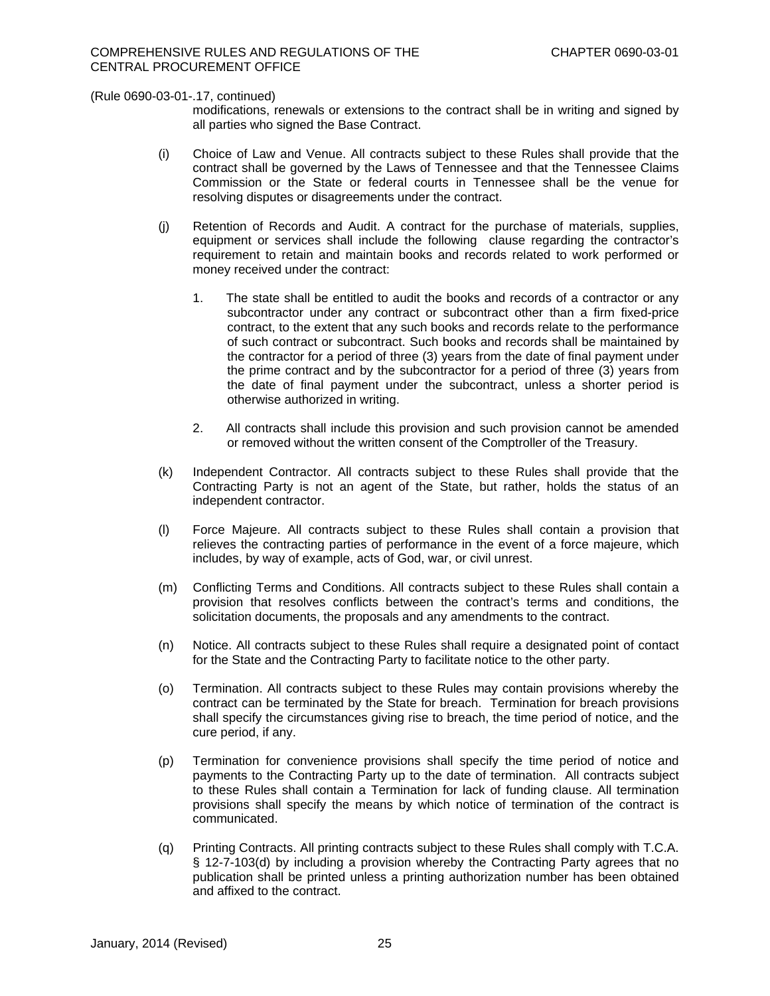modifications, renewals or extensions to the contract shall be in writing and signed by all parties who signed the Base Contract.

- (i) Choice of Law and Venue. All contracts subject to these Rules shall provide that the contract shall be governed by the Laws of Tennessee and that the Tennessee Claims Commission or the State or federal courts in Tennessee shall be the venue for resolving disputes or disagreements under the contract.
- (j) Retention of Records and Audit. A contract for the purchase of materials, supplies, equipment or services shall include the following clause regarding the contractor's requirement to retain and maintain books and records related to work performed or money received under the contract:
	- 1. The state shall be entitled to audit the books and records of a contractor or any subcontractor under any contract or subcontract other than a firm fixed-price contract, to the extent that any such books and records relate to the performance of such contract or subcontract. Such books and records shall be maintained by the contractor for a period of three (3) years from the date of final payment under the prime contract and by the subcontractor for a period of three (3) years from the date of final payment under the subcontract, unless a shorter period is otherwise authorized in writing.
	- 2. All contracts shall include this provision and such provision cannot be amended or removed without the written consent of the Comptroller of the Treasury.
- (k) Independent Contractor. All contracts subject to these Rules shall provide that the Contracting Party is not an agent of the State, but rather, holds the status of an independent contractor.
- (l) Force Majeure. All contracts subject to these Rules shall contain a provision that relieves the contracting parties of performance in the event of a force majeure, which includes, by way of example, acts of God, war, or civil unrest.
- (m) Conflicting Terms and Conditions. All contracts subject to these Rules shall contain a provision that resolves conflicts between the contract's terms and conditions, the solicitation documents, the proposals and any amendments to the contract.
- (n) Notice. All contracts subject to these Rules shall require a designated point of contact for the State and the Contracting Party to facilitate notice to the other party.
- (o) Termination. All contracts subject to these Rules may contain provisions whereby the contract can be terminated by the State for breach. Termination for breach provisions shall specify the circumstances giving rise to breach, the time period of notice, and the cure period, if any.
- (p) Termination for convenience provisions shall specify the time period of notice and payments to the Contracting Party up to the date of termination. All contracts subject to these Rules shall contain a Termination for lack of funding clause. All termination provisions shall specify the means by which notice of termination of the contract is communicated.
- (q) Printing Contracts. All printing contracts subject to these Rules shall comply with T.C.A. § 12-7-103(d) by including a provision whereby the Contracting Party agrees that no publication shall be printed unless a printing authorization number has been obtained and affixed to the contract.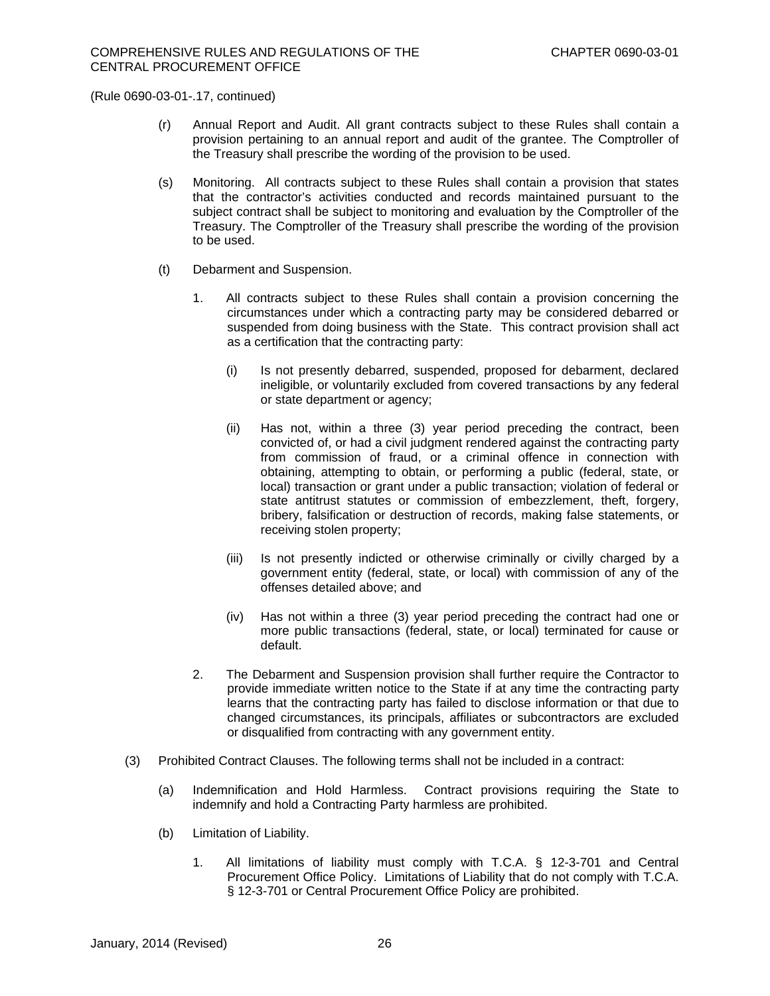- (r) Annual Report and Audit. All grant contracts subject to these Rules shall contain a provision pertaining to an annual report and audit of the grantee. The Comptroller of the Treasury shall prescribe the wording of the provision to be used.
- (s) Monitoring.All contracts subject to these Rules shall contain a provision that states that the contractor's activities conducted and records maintained pursuant to the subject contract shall be subject to monitoring and evaluation by the Comptroller of the Treasury. The Comptroller of the Treasury shall prescribe the wording of the provision to be used.
- (t) Debarment and Suspension.
	- 1. All contracts subject to these Rules shall contain a provision concerning the circumstances under which a contracting party may be considered debarred or suspended from doing business with the State. This contract provision shall act as a certification that the contracting party:
		- (i) Is not presently debarred, suspended, proposed for debarment, declared ineligible, or voluntarily excluded from covered transactions by any federal or state department or agency;
		- (ii) Has not, within a three (3) year period preceding the contract, been convicted of, or had a civil judgment rendered against the contracting party from commission of fraud, or a criminal offence in connection with obtaining, attempting to obtain, or performing a public (federal, state, or local) transaction or grant under a public transaction; violation of federal or state antitrust statutes or commission of embezzlement, theft, forgery, bribery, falsification or destruction of records, making false statements, or receiving stolen property;
		- (iii) Is not presently indicted or otherwise criminally or civilly charged by a government entity (federal, state, or local) with commission of any of the offenses detailed above; and
		- (iv) Has not within a three (3) year period preceding the contract had one or more public transactions (federal, state, or local) terminated for cause or default.
	- 2. The Debarment and Suspension provision shall further require the Contractor to provide immediate written notice to the State if at any time the contracting party learns that the contracting party has failed to disclose information or that due to changed circumstances, its principals, affiliates or subcontractors are excluded or disqualified from contracting with any government entity.
- (3) Prohibited Contract Clauses. The following terms shall not be included in a contract:
	- (a) Indemnification and Hold Harmless. Contract provisions requiring the State to indemnify and hold a Contracting Party harmless are prohibited.
	- (b) Limitation of Liability.
		- 1. All limitations of liability must comply with T.C.A. § 12-3-701 and Central Procurement Office Policy. Limitations of Liability that do not comply with T.C.A. § 12-3-701 or Central Procurement Office Policy are prohibited.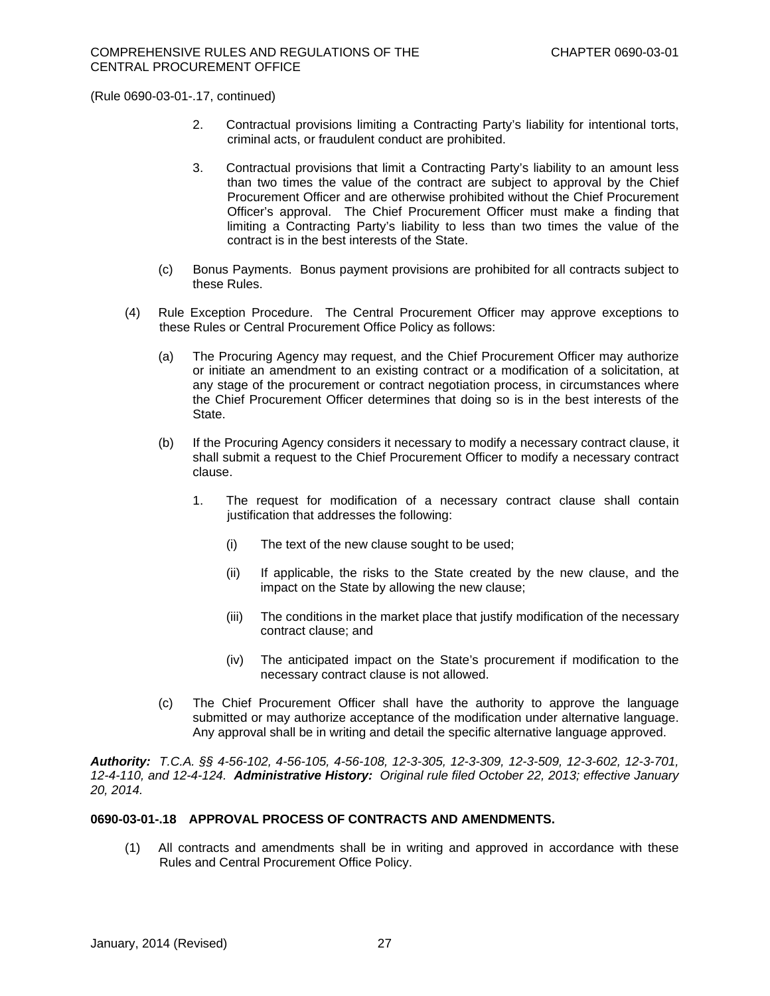- 2. Contractual provisions limiting a Contracting Party's liability for intentional torts, criminal acts, or fraudulent conduct are prohibited.
- 3. Contractual provisions that limit a Contracting Party's liability to an amount less than two times the value of the contract are subject to approval by the Chief Procurement Officer and are otherwise prohibited without the Chief Procurement Officer's approval. The Chief Procurement Officer must make a finding that limiting a Contracting Party's liability to less than two times the value of the contract is in the best interests of the State.
- (c) Bonus Payments. Bonus payment provisions are prohibited for all contracts subject to these Rules.
- (4) Rule Exception Procedure. The Central Procurement Officer may approve exceptions to these Rules or Central Procurement Office Policy as follows:
	- (a) The Procuring Agency may request, and the Chief Procurement Officer may authorize or initiate an amendment to an existing contract or a modification of a solicitation, at any stage of the procurement or contract negotiation process, in circumstances where the Chief Procurement Officer determines that doing so is in the best interests of the State.
	- (b) If the Procuring Agency considers it necessary to modify a necessary contract clause, it shall submit a request to the Chief Procurement Officer to modify a necessary contract clause.
		- 1. The request for modification of a necessary contract clause shall contain justification that addresses the following:
			- (i) The text of the new clause sought to be used;
			- (ii) If applicable, the risks to the State created by the new clause, and the impact on the State by allowing the new clause;
			- (iii) The conditions in the market place that justify modification of the necessary contract clause; and
			- (iv) The anticipated impact on the State's procurement if modification to the necessary contract clause is not allowed.
	- (c) The Chief Procurement Officer shall have the authority to approve the language submitted or may authorize acceptance of the modification under alternative language. Any approval shall be in writing and detail the specific alternative language approved.

*Authority: T.C.A. §§ 4-56-102, 4-56-105, 4-56-108, 12-3-305, 12-3-309, 12-3-509, 12-3-602, 12-3-701, 12-4-110, and 12-4-124. Administrative History: Original rule filed October 22, 2013; effective January 20, 2014.* 

# **0690-03-01-.18 APPROVAL PROCESS OF CONTRACTS AND AMENDMENTS.**

(1) All contracts and amendments shall be in writing and approved in accordance with these Rules and Central Procurement Office Policy.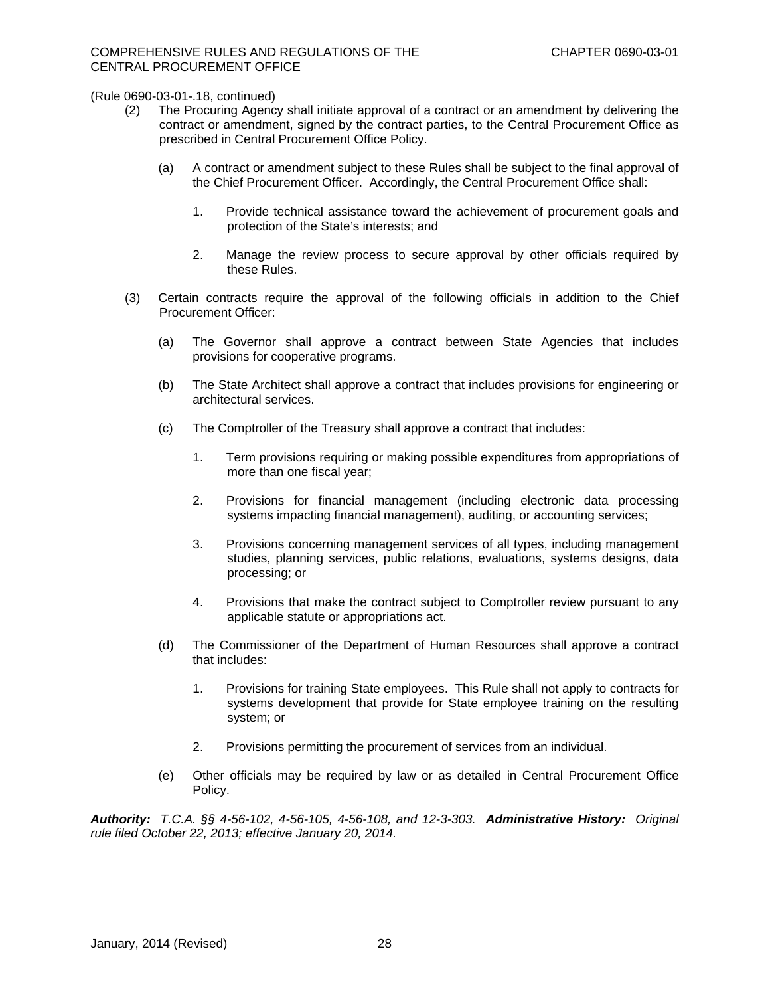- (2) The Procuring Agency shall initiate approval of a contract or an amendment by delivering the contract or amendment, signed by the contract parties, to the Central Procurement Office as prescribed in Central Procurement Office Policy.
	- (a) A contract or amendment subject to these Rules shall be subject to the final approval of the Chief Procurement Officer. Accordingly, the Central Procurement Office shall:
		- 1. Provide technical assistance toward the achievement of procurement goals and protection of the State's interests; and
		- 2. Manage the review process to secure approval by other officials required by these Rules.
- (3) Certain contracts require the approval of the following officials in addition to the Chief Procurement Officer:
	- (a) The Governor shall approve a contract between State Agencies that includes provisions for cooperative programs.
	- (b) The State Architect shall approve a contract that includes provisions for engineering or architectural services.
	- (c) The Comptroller of the Treasury shall approve a contract that includes:
		- 1. Term provisions requiring or making possible expenditures from appropriations of more than one fiscal year;
		- 2. Provisions for financial management (including electronic data processing systems impacting financial management), auditing, or accounting services;
		- 3. Provisions concerning management services of all types, including management studies, planning services, public relations, evaluations, systems designs, data processing; or
		- 4. Provisions that make the contract subject to Comptroller review pursuant to any applicable statute or appropriations act.
	- (d) The Commissioner of the Department of Human Resources shall approve a contract that includes:
		- 1. Provisions for training State employees. This Rule shall not apply to contracts for systems development that provide for State employee training on the resulting system; or
		- 2. Provisions permitting the procurement of services from an individual.
	- (e) Other officials may be required by law or as detailed in Central Procurement Office Policy.

*Authority: T.C.A. §§ 4-56-102, 4-56-105, 4-56-108, and 12-3-303. Administrative History: Original rule filed October 22, 2013; effective January 20, 2014.*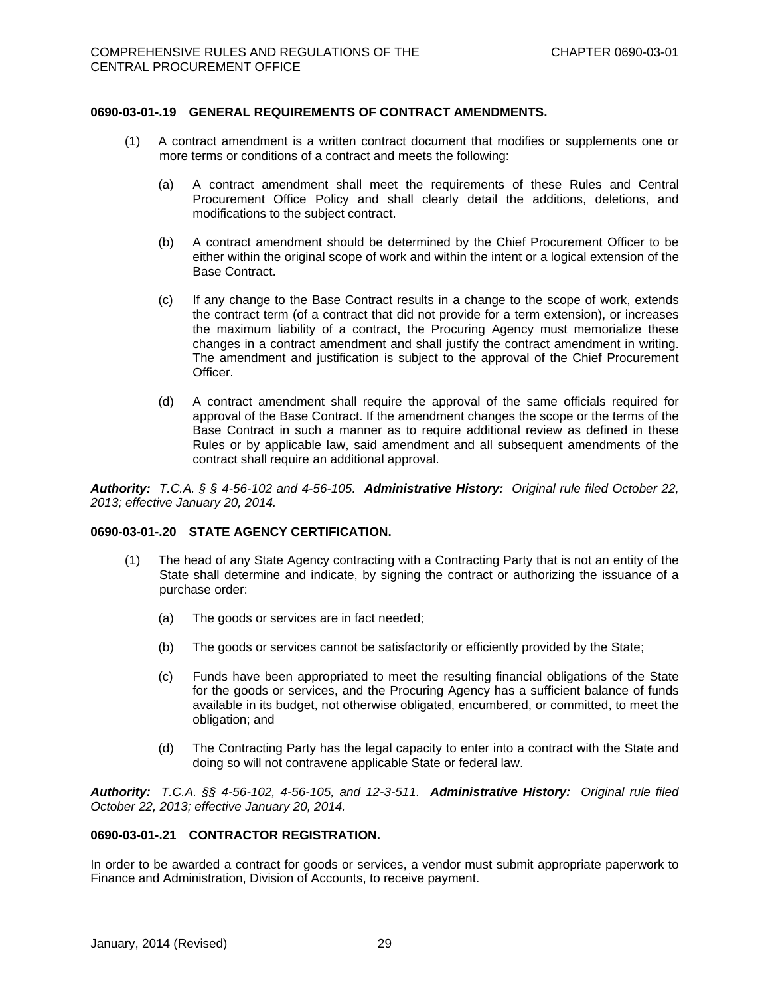## **0690-03-01-.19 GENERAL REQUIREMENTS OF CONTRACT AMENDMENTS.**

- (1) A contract amendment is a written contract document that modifies or supplements one or more terms or conditions of a contract and meets the following:
	- (a) A contract amendment shall meet the requirements of these Rules and Central Procurement Office Policy and shall clearly detail the additions, deletions, and modifications to the subject contract.
	- (b) A contract amendment should be determined by the Chief Procurement Officer to be either within the original scope of work and within the intent or a logical extension of the Base Contract.
	- (c) If any change to the Base Contract results in a change to the scope of work, extends the contract term (of a contract that did not provide for a term extension), or increases the maximum liability of a contract, the Procuring Agency must memorialize these changes in a contract amendment and shall justify the contract amendment in writing. The amendment and justification is subject to the approval of the Chief Procurement Officer.
	- (d) A contract amendment shall require the approval of the same officials required for approval of the Base Contract. If the amendment changes the scope or the terms of the Base Contract in such a manner as to require additional review as defined in these Rules or by applicable law, said amendment and all subsequent amendments of the contract shall require an additional approval.

*Authority: T.C.A. § § 4-56-102 and 4-56-105. Administrative History: Original rule filed October 22, 2013; effective January 20, 2014.* 

### **0690-03-01-.20 STATE AGENCY CERTIFICATION.**

- (1) The head of any State Agency contracting with a Contracting Party that is not an entity of the State shall determine and indicate, by signing the contract or authorizing the issuance of a purchase order:
	- (a) The goods or services are in fact needed;
	- (b) The goods or services cannot be satisfactorily or efficiently provided by the State;
	- (c) Funds have been appropriated to meet the resulting financial obligations of the State for the goods or services, and the Procuring Agency has a sufficient balance of funds available in its budget, not otherwise obligated, encumbered, or committed, to meet the obligation; and
	- (d) The Contracting Party has the legal capacity to enter into a contract with the State and doing so will not contravene applicable State or federal law.

*Authority: T.C.A. §§ 4-56-102, 4-56-105, and 12-3-511. Administrative History: Original rule filed October 22, 2013; effective January 20, 2014.* 

### **0690-03-01-.21 CONTRACTOR REGISTRATION.**

In order to be awarded a contract for goods or services, a vendor must submit appropriate paperwork to Finance and Administration, Division of Accounts, to receive payment.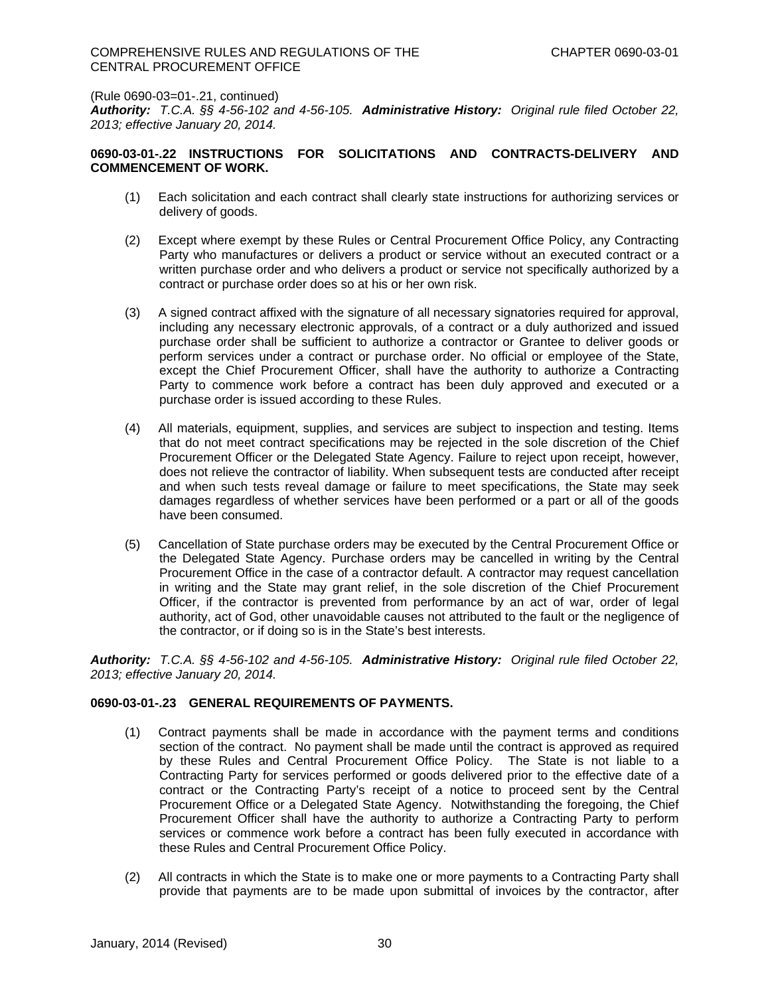*Authority: T.C.A. §§ 4-56-102 and 4-56-105. Administrative History: Original rule filed October 22, 2013; effective January 20, 2014.* 

## **0690-03-01-.22 INSTRUCTIONS FOR SOLICITATIONS AND CONTRACTS-DELIVERY AND COMMENCEMENT OF WORK.**

- (1) Each solicitation and each contract shall clearly state instructions for authorizing services or delivery of goods.
- (2) Except where exempt by these Rules or Central Procurement Office Policy, any Contracting Party who manufactures or delivers a product or service without an executed contract or a written purchase order and who delivers a product or service not specifically authorized by a contract or purchase order does so at his or her own risk.
- (3) A signed contract affixed with the signature of all necessary signatories required for approval, including any necessary electronic approvals, of a contract or a duly authorized and issued purchase order shall be sufficient to authorize a contractor or Grantee to deliver goods or perform services under a contract or purchase order. No official or employee of the State, except the Chief Procurement Officer, shall have the authority to authorize a Contracting Party to commence work before a contract has been duly approved and executed or a purchase order is issued according to these Rules.
- (4) All materials, equipment, supplies, and services are subject to inspection and testing. Items that do not meet contract specifications may be rejected in the sole discretion of the Chief Procurement Officer or the Delegated State Agency. Failure to reject upon receipt, however, does not relieve the contractor of liability. When subsequent tests are conducted after receipt and when such tests reveal damage or failure to meet specifications, the State may seek damages regardless of whether services have been performed or a part or all of the goods have been consumed.
- (5) Cancellation of State purchase orders may be executed by the Central Procurement Office or the Delegated State Agency. Purchase orders may be cancelled in writing by the Central Procurement Office in the case of a contractor default. A contractor may request cancellation in writing and the State may grant relief, in the sole discretion of the Chief Procurement Officer, if the contractor is prevented from performance by an act of war, order of legal authority, act of God, other unavoidable causes not attributed to the fault or the negligence of the contractor, or if doing so is in the State's best interests.

*Authority: T.C.A. §§ 4-56-102 and 4-56-105. Administrative History: Original rule filed October 22, 2013; effective January 20, 2014.* 

### **0690-03-01-.23 GENERAL REQUIREMENTS OF PAYMENTS.**

- (1) Contract payments shall be made in accordance with the payment terms and conditions section of the contract. No payment shall be made until the contract is approved as required by these Rules and Central Procurement Office Policy. The State is not liable to a Contracting Party for services performed or goods delivered prior to the effective date of a contract or the Contracting Party's receipt of a notice to proceed sent by the Central Procurement Office or a Delegated State Agency. Notwithstanding the foregoing, the Chief Procurement Officer shall have the authority to authorize a Contracting Party to perform services or commence work before a contract has been fully executed in accordance with these Rules and Central Procurement Office Policy.
- (2) All contracts in which the State is to make one or more payments to a Contracting Party shall provide that payments are to be made upon submittal of invoices by the contractor, after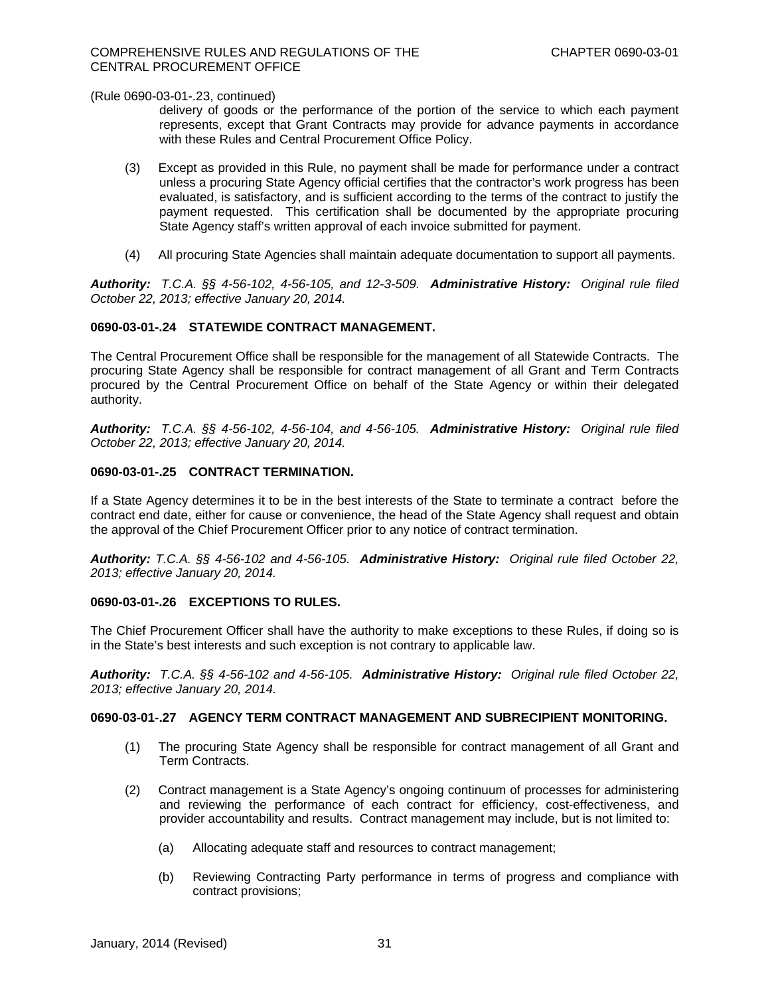delivery of goods or the performance of the portion of the service to which each payment represents, except that Grant Contracts may provide for advance payments in accordance with these Rules and Central Procurement Office Policy.

- (3) Except as provided in this Rule, no payment shall be made for performance under a contract unless a procuring State Agency official certifies that the contractor's work progress has been evaluated, is satisfactory, and is sufficient according to the terms of the contract to justify the payment requested. This certification shall be documented by the appropriate procuring State Agency staff's written approval of each invoice submitted for payment.
- (4) All procuring State Agencies shall maintain adequate documentation to support all payments.

*Authority: T.C.A. §§ 4-56-102, 4-56-105, and 12-3-509. Administrative History: Original rule filed October 22, 2013; effective January 20, 2014.* 

## **0690-03-01-.24 STATEWIDE CONTRACT MANAGEMENT.**

The Central Procurement Office shall be responsible for the management of all Statewide Contracts. The procuring State Agency shall be responsible for contract management of all Grant and Term Contracts procured by the Central Procurement Office on behalf of the State Agency or within their delegated authority.

*Authority: T.C.A. §§ 4-56-102, 4-56-104, and 4-56-105. Administrative History: Original rule filed October 22, 2013; effective January 20, 2014.* 

## **0690-03-01-.25 CONTRACT TERMINATION.**

If a State Agency determines it to be in the best interests of the State to terminate a contract before the contract end date, either for cause or convenience, the head of the State Agency shall request and obtain the approval of the Chief Procurement Officer prior to any notice of contract termination.

*Authority: T.C.A. §§ 4-56-102 and 4-56-105. Administrative History: Original rule filed October 22, 2013; effective January 20, 2014.* 

## **0690-03-01-.26 EXCEPTIONS TO RULES.**

The Chief Procurement Officer shall have the authority to make exceptions to these Rules, if doing so is in the State's best interests and such exception is not contrary to applicable law.

*Authority: T.C.A. §§ 4-56-102 and 4-56-105. Administrative History: Original rule filed October 22, 2013; effective January 20, 2014.* 

#### **0690-03-01-.27 AGENCY TERM CONTRACT MANAGEMENT AND SUBRECIPIENT MONITORING.**

- (1) The procuring State Agency shall be responsible for contract management of all Grant and Term Contracts.
- (2) Contract management is a State Agency's ongoing continuum of processes for administering and reviewing the performance of each contract for efficiency, cost-effectiveness, and provider accountability and results. Contract management may include, but is not limited to:
	- (a) Allocating adequate staff and resources to contract management;
	- (b) Reviewing Contracting Party performance in terms of progress and compliance with contract provisions;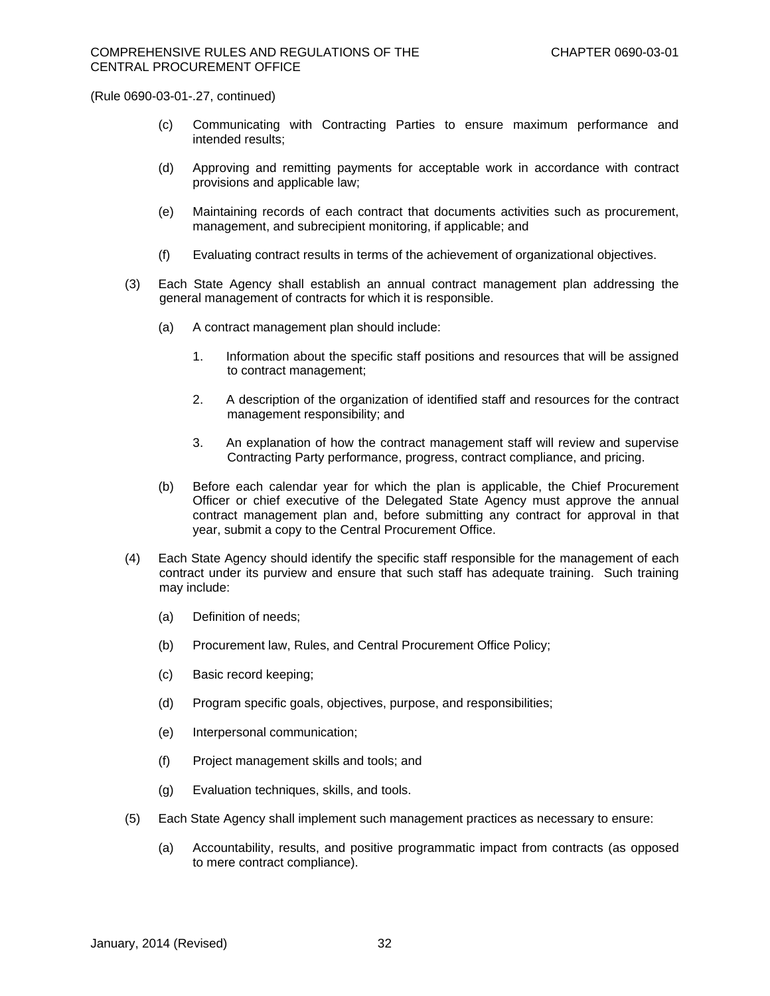- (c) Communicating with Contracting Parties to ensure maximum performance and intended results;
- (d) Approving and remitting payments for acceptable work in accordance with contract provisions and applicable law;
- (e) Maintaining records of each contract that documents activities such as procurement, management, and subrecipient monitoring, if applicable; and
- (f) Evaluating contract results in terms of the achievement of organizational objectives.
- (3) Each State Agency shall establish an annual contract management plan addressing the general management of contracts for which it is responsible.
	- (a) A contract management plan should include:
		- 1. Information about the specific staff positions and resources that will be assigned to contract management;
		- 2. A description of the organization of identified staff and resources for the contract management responsibility; and
		- 3. An explanation of how the contract management staff will review and supervise Contracting Party performance, progress, contract compliance, and pricing.
	- (b) Before each calendar year for which the plan is applicable, the Chief Procurement Officer or chief executive of the Delegated State Agency must approve the annual contract management plan and, before submitting any contract for approval in that year, submit a copy to the Central Procurement Office.
- (4) Each State Agency should identify the specific staff responsible for the management of each contract under its purview and ensure that such staff has adequate training. Such training may include:
	- (a) Definition of needs;
	- (b) Procurement law, Rules, and Central Procurement Office Policy;
	- (c) Basic record keeping;
	- (d) Program specific goals, objectives, purpose, and responsibilities;
	- (e) Interpersonal communication;
	- (f) Project management skills and tools; and
	- (g) Evaluation techniques, skills, and tools.
- (5) Each State Agency shall implement such management practices as necessary to ensure:
	- (a) Accountability, results, and positive programmatic impact from contracts (as opposed to mere contract compliance).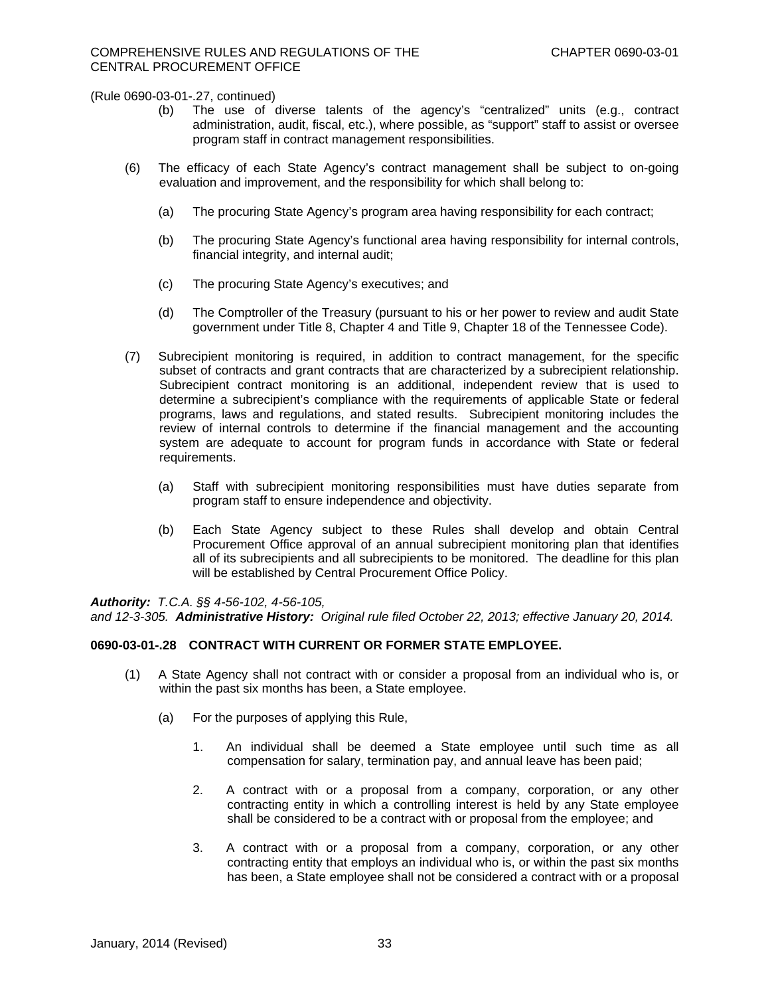- (b) The use of diverse talents of the agency's "centralized" units (e.g., contract administration, audit, fiscal, etc.), where possible, as "support" staff to assist or oversee program staff in contract management responsibilities.
- (6) The efficacy of each State Agency's contract management shall be subject to on-going evaluation and improvement, and the responsibility for which shall belong to:
	- (a) The procuring State Agency's program area having responsibility for each contract;
	- (b) The procuring State Agency's functional area having responsibility for internal controls, financial integrity, and internal audit;
	- (c) The procuring State Agency's executives; and
	- (d) The Comptroller of the Treasury (pursuant to his or her power to review and audit State government under Title 8, Chapter 4 and Title 9, Chapter 18 of the Tennessee Code).
- (7) Subrecipient monitoring is required, in addition to contract management, for the specific subset of contracts and grant contracts that are characterized by a subrecipient relationship. Subrecipient contract monitoring is an additional, independent review that is used to determine a subrecipient's compliance with the requirements of applicable State or federal programs, laws and regulations, and stated results. Subrecipient monitoring includes the review of internal controls to determine if the financial management and the accounting system are adequate to account for program funds in accordance with State or federal requirements.
	- (a) Staff with subrecipient monitoring responsibilities must have duties separate from program staff to ensure independence and objectivity.
	- (b) Each State Agency subject to these Rules shall develop and obtain Central Procurement Office approval of an annual subrecipient monitoring plan that identifies all of its subrecipients and all subrecipients to be monitored. The deadline for this plan will be established by Central Procurement Office Policy.

### *Authority: T.C.A. §§ 4-56-102, 4-56-105,*

*and 12-3-305. Administrative History: Original rule filed October 22, 2013; effective January 20, 2014.* 

### **0690-03-01-.28 CONTRACT WITH CURRENT OR FORMER STATE EMPLOYEE.**

- (1) A State Agency shall not contract with or consider a proposal from an individual who is, or within the past six months has been, a State employee.
	- (a) For the purposes of applying this Rule,
		- 1. An individual shall be deemed a State employee until such time as all compensation for salary, termination pay, and annual leave has been paid;
		- 2. A contract with or a proposal from a company, corporation, or any other contracting entity in which a controlling interest is held by any State employee shall be considered to be a contract with or proposal from the employee; and
		- 3. A contract with or a proposal from a company, corporation, or any other contracting entity that employs an individual who is, or within the past six months has been, a State employee shall not be considered a contract with or a proposal